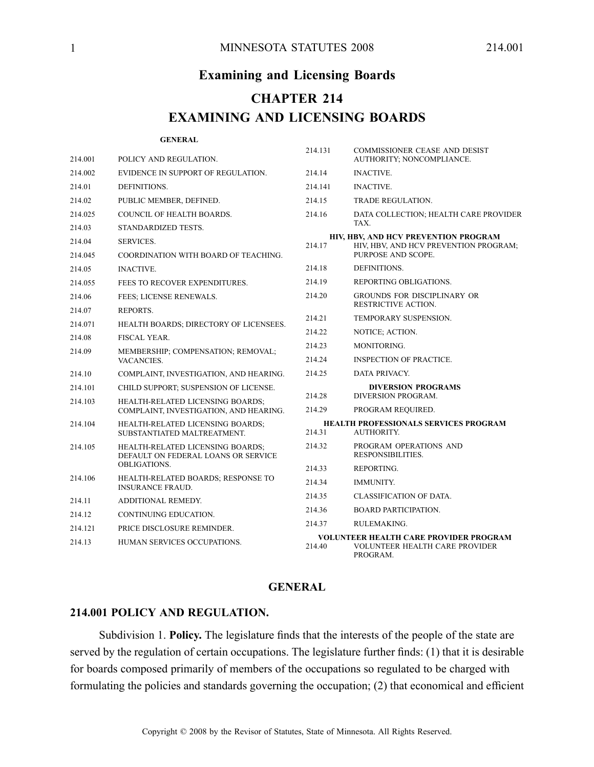# **Examining and Licensing Boards CHAPTER 214 EXAMINING AND LICENSING BOARDS**

#### **GENERAL**

| 214.001 | POLICY AND REGULATION.                                                  | 214.131                   | <b>COMMISSIONER CEASE AND DESIST</b><br>AUTHORITY; NONCOMPLIANCE.                                   |
|---------|-------------------------------------------------------------------------|---------------------------|-----------------------------------------------------------------------------------------------------|
| 214.002 | EVIDENCE IN SUPPORT OF REGULATION.                                      | 214.14                    | <b>INACTIVE.</b>                                                                                    |
| 214.01  | DEFINITIONS.                                                            | 214.141                   | <b>INACTIVE.</b>                                                                                    |
| 214.02  | PUBLIC MEMBER, DEFINED.                                                 | 214.15                    | <b>TRADE REGULATION.</b>                                                                            |
| 214.025 | <b>COUNCIL OF HEALTH BOARDS.</b>                                        | 214.16                    | DATA COLLECTION; HEALTH CARE PROVIDER                                                               |
| 214.03  | STANDARDIZED TESTS.                                                     |                           | TAX.                                                                                                |
| 214.04  | <b>SERVICES.</b>                                                        | 214.17                    | HIV, HBV, AND HCV PREVENTION PROGRAM<br>HIV, HBV, AND HCV PREVENTION PROGRAM;<br>PURPOSE AND SCOPE. |
| 214.045 | COORDINATION WITH BOARD OF TEACHING.                                    |                           |                                                                                                     |
| 214.05  | <b>INACTIVE.</b>                                                        | 214.18                    | DEFINITIONS.                                                                                        |
| 214.055 | FEES TO RECOVER EXPENDITURES.                                           | 214.19                    | REPORTING OBLIGATIONS.                                                                              |
| 214.06  | FEES; LICENSE RENEWALS.                                                 | 214.20                    | GROUNDS FOR DISCIPLINARY OR                                                                         |
| 214.07  | REPORTS.                                                                |                           | RESTRICTIVE ACTION.                                                                                 |
| 214.071 | HEALTH BOARDS; DIRECTORY OF LICENSEES.                                  | 214.21                    | TEMPORARY SUSPENSION.                                                                               |
| 214.08  | <b>FISCAL YEAR.</b>                                                     | 214.22                    | NOTICE; ACTION.                                                                                     |
| 214.09  | MEMBERSHIP; COMPENSATION; REMOVAL;<br>VACANCIES.                        | 214.23                    | MONITORING.                                                                                         |
|         |                                                                         | 214.24                    | <b>INSPECTION OF PRACTICE.</b>                                                                      |
| 214.10  | COMPLAINT, INVESTIGATION, AND HEARING.                                  | 214.25                    | DATA PRIVACY.                                                                                       |
| 214.101 | CHILD SUPPORT; SUSPENSION OF LICENSE.                                   | <b>DIVERSION PROGRAMS</b> |                                                                                                     |
| 214.103 | HEALTH-RELATED LICENSING BOARDS;                                        | 214.28<br>214.29          | DIVERSION PROGRAM.<br>PROGRAM REQUIRED.                                                             |
|         | COMPLAINT, INVESTIGATION, AND HEARING.                                  |                           |                                                                                                     |
| 214.104 | <b>HEALTH-RELATED LICENSING BOARDS;</b><br>SUBSTANTIATED MALTREATMENT.  | 214.31                    | <b>HEALTH PROFESSIONALS SERVICES PROGRAM</b><br><b>AUTHORITY.</b>                                   |
| 214.105 | HEALTH-RELATED LICENSING BOARDS;<br>DEFAULT ON FEDERAL LOANS OR SERVICE | 214.32                    | PROGRAM OPERATIONS AND<br>RESPONSIBILITIES.                                                         |
|         | <b>OBLIGATIONS.</b>                                                     | 214.33                    | REPORTING.                                                                                          |
| 214.106 | HEALTH-RELATED BOARDS; RESPONSE TO<br><b>INSURANCE FRAUD.</b>           | 214.34                    | <b>IMMUNITY.</b>                                                                                    |
| 214.11  | ADDITIONAL REMEDY.                                                      | 214.35                    | <b>CLASSIFICATION OF DATA.</b>                                                                      |
| 214.12  | CONTINUING EDUCATION.                                                   | 214.36                    | <b>BOARD PARTICIPATION.</b>                                                                         |
| 214.121 | PRICE DISCLOSURE REMINDER.                                              | 214.37                    | RULEMAKING.                                                                                         |
| 214.13  | HUMAN SERVICES OCCUPATIONS.                                             | 214.40                    | <b>VOLUNTEER HEALTH CARE PROVIDER PROGRAM</b><br><b>VOLUNTEER HEALTH CARE PROVIDER</b><br>PROGRAM.  |

## **GENERAL**

## **214.001 POLICY AND REGULATION.**

Subdivision 1. **Policy.** The legislature finds that the interests of the people of the state are served by the regulation of certain occupations. The legislature further finds: (1) that it is desirable for boards composed primarily of members of the occupations so regulated to be charged with formulating the policies and standards governing the occupation; (2) that economical and efficient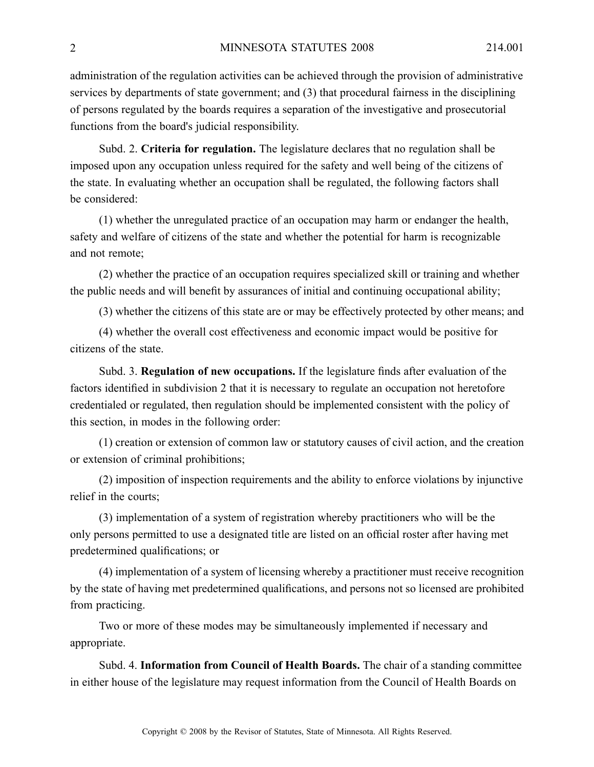administration of the regulation activities can be achieved through the provision of administrative services by departments of state government; and (3) that procedural fairness in the disciplining of persons regulated by the boards requires <sup>a</sup> separation of the investigative and prosecutorial functions from the board's judicial responsibility.

Subd. 2. **Criteria for regulation.** The legislature declares that no regulation shall be imposed upon any occupation unless required for the safety and well being of the citizens of the state. In evaluating whether an occupation shall be regulated, the following factors shall be considered:

(1) whether the unregulated practice of an occupation may harm or endanger the health, safety and welfare of citizens of the state and whether the potential for harm is recognizable and not remote;

(2) whether the practice of an occupation requires specialized skill or training and whether the public needs and will benefit by assurances of initial and continuing occupational ability;

(3) whether the citizens of this state are or may be effectively protected by other means; and

(4) whether the overall cost effectiveness and economic impact would be positive for citizens of the state.

Subd. 3. **Regulation of new occupations.** If the legislature finds after evaluation of the factors identified in subdivision 2 that it is necessary to regulate an occupation not heretofore credentialed or regulated, then regulation should be implemented consistent with the policy of this section, in modes in the following order:

(1) creation or extension of common law or statutory causes of civil action, and the creation or extension of criminal prohibitions;

(2) imposition of inspection requirements and the ability to enforce violations by injunctive relief in the courts;

(3) implementation of <sup>a</sup> system of registration whereby practitioners who will be the only persons permitted to use <sup>a</sup> designated title are listed on an official roster after having met predetermined qualifications; or

(4) implementation of <sup>a</sup> system of licensing whereby <sup>a</sup> practitioner must receive recognition by the state of having met predetermined qualifications, and persons not so licensed are prohibited from practicing.

Two or more of these modes may be simultaneously implemented if necessary and appropriate.

Subd. 4. **Information from Council of Health Boards.** The chair of <sup>a</sup> standing committee in either house of the legislature may reques<sup>t</sup> information from the Council of Health Boards on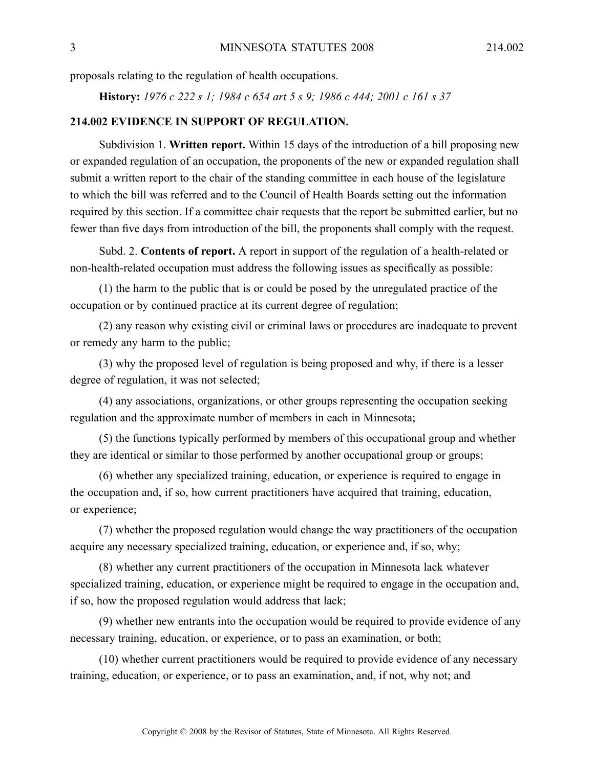proposals relating to the regulation of health occupations.

**History:** *1976 <sup>c</sup> 222 <sup>s</sup> 1; 1984 <sup>c</sup> 654 art 5 <sup>s</sup> 9; 1986 <sup>c</sup> 444; 2001 <sup>c</sup> 161 <sup>s</sup> 37*

#### **214.002 EVIDENCE IN SUPPORT OF REGULATION.**

Subdivision 1. **Written report.** Within 15 days of the introduction of <sup>a</sup> bill proposing new or expanded regulation of an occupation, the proponents of the new or expanded regulation shall submit <sup>a</sup> written repor<sup>t</sup> to the chair of the standing committee in each house of the legislature to which the bill was referred and to the Council of Health Boards setting out the information required by this section. If <sup>a</sup> committee chair requests that the repor<sup>t</sup> be submitted earlier, but no fewer than five days from introduction of the bill, the proponents shall comply with the request.

Subd. 2. **Contents of report.** Areport in suppor<sup>t</sup> of the regulation of <sup>a</sup> health-related or non-health-related occupation must address the following issues as specifically as possible:

(1) the harm to the public that is or could be posed by the unregulated practice of the occupation or by continued practice at its current degree of regulation;

(2) any reason why existing civil or criminal laws or procedures are inadequate to preven<sup>t</sup> or remedy any harm to the public;

(3) why the proposed level of regulation is being proposed and why, if there is <sup>a</sup> lesser degree of regulation, it was not selected;

(4) any associations, organizations, or other groups representing the occupation seeking regulation and the approximate number of members in each in Minnesota;

(5) the functions typically performed by members of this occupational group and whether they are identical or similar to those performed by another occupational group or groups;

(6) whether any specialized training, education, or experience is required to engage in the occupation and, if so, how current practitioners have acquired that training, education, or experience;

(7) whether the proposed regulation would change the way practitioners of the occupation acquire any necessary specialized training, education, or experience and, if so, why;

(8) whether any current practitioners of the occupation in Minnesota lack whatever specialized training, education, or experience might be required to engage in the occupation and, if so, how the proposed regulation would address that lack;

(9) whether new entrants into the occupation would be required to provide evidence of any necessary training, education, or experience, or to pass an examination, or both;

(10) whether current practitioners would be required to provide evidence of any necessary training, education, or experience, or to pass an examination, and, if not, why not; and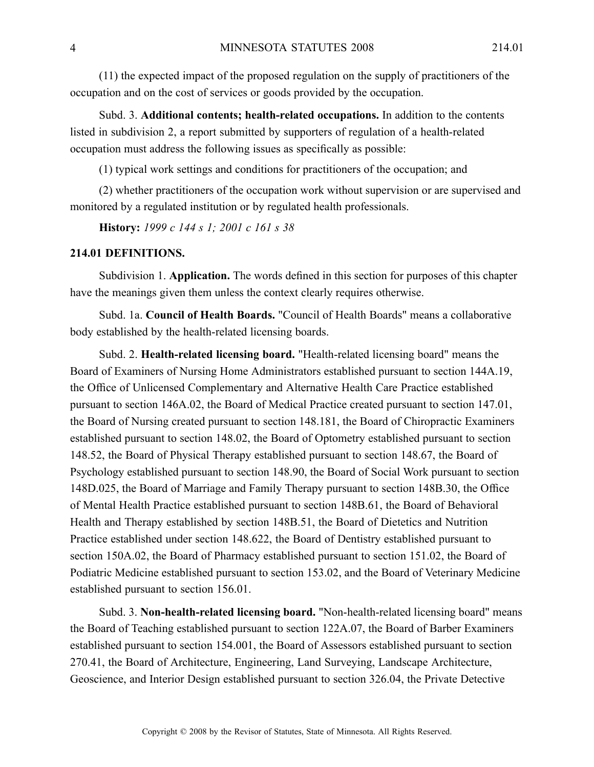(11) the expected impact of the proposed regulation on the supply of practitioners of the occupation and on the cost of services or goods provided by the occupation.

Subd. 3. **Additional contents; health-related occupations.** In addition to the contents listed in subdivision 2, <sup>a</sup> repor<sup>t</sup> submitted by supporters of regulation of <sup>a</sup> health-related occupation must address the following issues as specifically as possible:

(1) typical work settings and conditions for practitioners of the occupation; and

(2) whether practitioners of the occupation work without supervision or are supervised and monitored by <sup>a</sup> regulated institution or by regulated health professionals.

**History:** *1999 <sup>c</sup> 144 <sup>s</sup> 1; 2001 <sup>c</sup> 161 <sup>s</sup> 38*

#### **214.01 DEFINITIONS.**

Subdivision 1. **Application.** The words defined in this section for purposes of this chapter have the meanings given them unless the context clearly requires otherwise.

Subd. 1a. **Council of Health Boards.** "Council of Health Boards" means <sup>a</sup> collaborative body established by the health-related licensing boards.

Subd. 2. **Health-related licensing board.** "Health-related licensing board" means the Board of Examiners of Nursing Home Administrators established pursuan<sup>t</sup> to section 144A.19, the Office of Unlicensed Complementary and Alternative Health Care Practice established pursuan<sup>t</sup> to section 146A.02, the Board of Medical Practice created pursuan<sup>t</sup> to section 147.01, the Board of Nursing created pursuan<sup>t</sup> to section 148.181, the Board of Chiropractic Examiners established pursuan<sup>t</sup> to section 148.02, the Board of Optometry established pursuan<sup>t</sup> to section 148.52, the Board of Physical Therapy established pursuan<sup>t</sup> to section 148.67, the Board of Psychology established pursuan<sup>t</sup> to section 148.90, the Board of Social Work pursuan<sup>t</sup> to section 148D.025, the Board of Marriage and Family Therapy pursuan<sup>t</sup> to section 148B.30, the Office of Mental Health Practice established pursuan<sup>t</sup> to section 148B.61, the Board of Behavioral Health and Therapy established by section 148B.51, the Board of Dietetics and Nutrition Practice established under section 148.622, the Board of Dentistry established pursuan<sup>t</sup> to section 150A.02, the Board of Pharmacy established pursuan<sup>t</sup> to section 151.02, the Board of Podiatric Medicine established pursuan<sup>t</sup> to section 153.02, and the Board of Veterinary Medicine established pursuan<sup>t</sup> to section 156.01.

Subd. 3. **Non-health-related licensing board.** "Non-health-related licensing board" means the Board of Teaching established pursuan<sup>t</sup> to section 122A.07, the Board of Barber Examiners established pursuan<sup>t</sup> to section 154.001, the Board of Assessors established pursuan<sup>t</sup> to section 270.41, the Board of Architecture, Engineering, Land Surveying, Landscape Architecture, Geoscience, and Interior Design established pursuan<sup>t</sup> to section 326.04, the Private Detective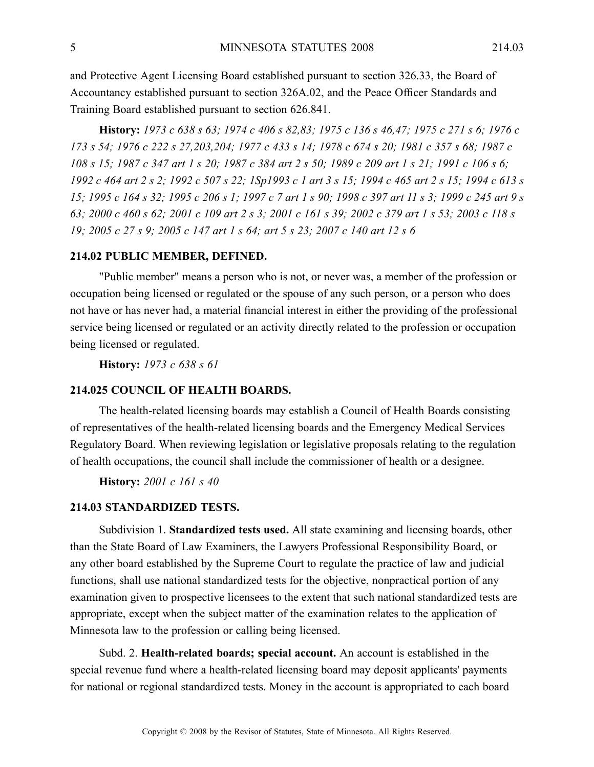and Protective Agent Licensing Board established pursuan<sup>t</sup> to section 326.33, the Board of Accountancy established pursuan<sup>t</sup> to section 326A.02, and the Peace Officer Standards and Training Board established pursuan<sup>t</sup> to section 626.841.

History: 1973 c 638 s 63; 1974 c 406 s 82,83; 1975 c 136 s 46,47; 1975 c 271 s 6; 1976 c 173 s 54; 1976 c 222 s 27, 203, 204; 1977 c 433 s 14; 1978 c 674 s 20; 1981 c 357 s 68; 1987 c 108 s 15; 1987 c 347 art 1 s 20; 1987 c 384 art 2 s 50; 1989 c 209 art 1 s 21; 1991 c 106 s 6; 1992 c 464 art 2 s 2; 1992 c 507 s 22; 1Sp1993 c 1 art 3 s 15; 1994 c 465 art 2 s 15; 1994 c 613 s 15; 1995 c 164 s 32; 1995 c 206 s 1; 1997 c 7 art 1 s 90; 1998 c 397 art 11 s 3; 1999 c 245 art 9 s 63; 2000 c 460 s 62; 2001 c 109 art 2 s 3; 2001 c 161 s 39; 2002 c 379 art 1 s 53; 2003 c 118 s 19; 2005 c 27 s 9; 2005 c 147 art 1 s 64; art 5 s 23; 2007 c 140 art 12 s 6

#### **214.02 PUBLIC MEMBER, DEFINED.**

"Public member" means <sup>a</sup> person who is not, or never was, <sup>a</sup> member of the profession or occupation being licensed or regulated or the spouse of any such person, or <sup>a</sup> person who does not have or has never had, <sup>a</sup> material financial interest in either the providing of the professional service being licensed or regulated or an activity directly related to the profession or occupation being licensed or regulated.

**History:** *1973 <sup>c</sup> 638 <sup>s</sup> 61*

#### **214.025 COUNCIL OF HEALTH BOARDS.**

The health-related licensing boards may establish <sup>a</sup> Council of Health Boards consisting of representatives of the health-related licensing boards and the Emergency Medical Services Regulatory Board. When reviewing legislation or legislative proposals relating to the regulation of health occupations, the council shall include the commissioner of health or <sup>a</sup> designee.

**History:** *2001 <sup>c</sup> 161 <sup>s</sup> 40*

#### **214.03 STANDARDIZED TESTS.**

Subdivision 1. **Standardized tests used.** All state examining and licensing boards, other than the State Board of Law Examiners, the Lawyers Professional Responsibility Board, or any other board established by the Supreme Court to regulate the practice of law and judicial functions, shall use national standardized tests for the objective, nonpractical portion of any examination given to prospective licensees to the extent that such national standardized tests are appropriate, excep<sup>t</sup> when the subject matter of the examination relates to the application of Minnesota law to the profession or calling being licensed.

Subd. 2. **Health-related boards; special account.** An account is established in the special revenue fund where <sup>a</sup> health-related licensing board may deposit applicants' payments for national or regional standardized tests. Money in the account is appropriated to each board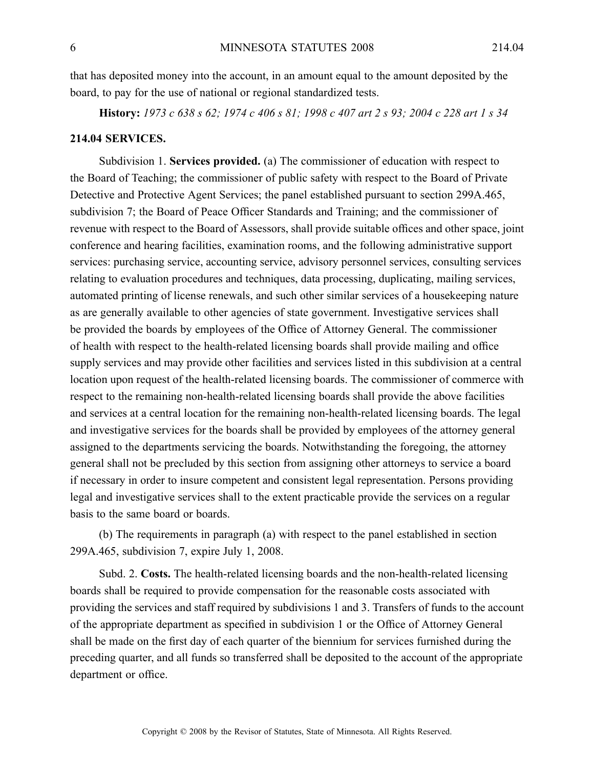that has deposited money into the account, in an amount equal to the amount deposited by the board, to pay for the use of national or regional standardized tests.

History: 1973 c 638 s 62; 1974 c 406 s 81; 1998 c 407 art 2 s 93; 2004 c 228 art 1 s 34

#### **214.04 SERVICES.**

Subdivision 1. **Services provided.** (a) The commissioner of education with respec<sup>t</sup> to the Board of Teaching; the commissioner of public safety with respec<sup>t</sup> to the Board of Private Detective and Protective Agent Services; the panel established pursuan<sup>t</sup> to section 299A.465, subdivision 7; the Board of Peace Officer Standards and Training; and the commissioner of revenue with respec<sup>t</sup> to the Board of Assessors, shall provide suitable offices and other space, joint conference and hearing facilities, examination rooms, and the following administrative suppor<sup>t</sup> services: purchasing service, accounting service, advisory personnel services, consulting services relating to evaluation procedures and techniques, data processing, duplicating, mailing services, automated printing of license renewals, and such other similar services of <sup>a</sup> housekeeping nature as are generally available to other agencies of state government. Investigative services shall be provided the boards by employees of the Office of Attorney General. The commissioner of health with respec<sup>t</sup> to the health-related licensing boards shall provide mailing and office supply services and may provide other facilities and services listed in this subdivision at <sup>a</sup> central location upon reques<sup>t</sup> of the health-related licensing boards. The commissioner of commerce with respec<sup>t</sup> to the remaining non-health-related licensing boards shall provide the above facilities and services at <sup>a</sup> central location for the remaining non-health-related licensing boards. The legal and investigative services for the boards shall be provided by employees of the attorney general assigned to the departments servicing the boards. Notwithstanding the foregoing, the attorney general shall not be precluded by this section from assigning other attorneys to service <sup>a</sup> board if necessary in order to insure competent and consistent legal representation. Persons providing legal and investigative services shall to the extent practicable provide the services on <sup>a</sup> regular basis to the same board or boards.

(b) The requirements in paragraph (a) with respec<sup>t</sup> to the panel established in section 299A.465, subdivision 7, expire July 1, 2008.

Subd. 2. **Costs.** The health-related licensing boards and the non-health-related licensing boards shall be required to provide compensation for the reasonable costs associated with providing the services and staff required by subdivisions 1 and 3. Transfers of funds to the account of the appropriate department as specified in subdivision 1 or the Office of Attorney General shall be made on the first day of each quarter of the biennium for services furnished during the preceding quarter, and all funds so transferred shall be deposited to the account of the appropriate department or office.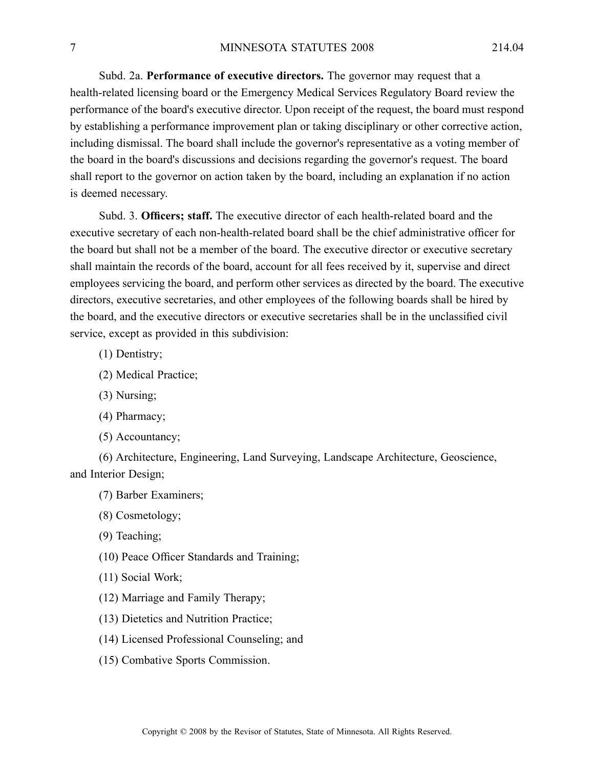Subd. 2a. **Performance of executive directors.** The governor may reques<sup>t</sup> that <sup>a</sup> health-related licensing board or the Emergency Medical Services Regulatory Board review the performance of the board's executive director. Upon receipt of the request, the board must respond by establishing <sup>a</sup> performance improvement plan or taking disciplinary or other corrective action, including dismissal. The board shall include the governor's representative as <sup>a</sup> voting member of the board in the board's discussions and decisions regarding the governor's request. The board shall repor<sup>t</sup> to the governor on action taken by the board, including an explanation if no action is deemed necessary.

Subd. 3. **Officers; staff.** The executive director of each health-related board and the executive secretary of each non-health-related board shall be the chief administrative officer for the board but shall not be <sup>a</sup> member of the board. The executive director or executive secretary shall maintain the records of the board, account for all fees received by it, supervise and direct employees servicing the board, and perform other services as directed by the board. The executive directors, executive secretaries, and other employees of the following boards shall be hired by the board, and the executive directors or executive secretaries shall be in the unclassified civil service, excep<sup>t</sup> as provided in this subdivision:

- (1) Dentistry;
- (2) Medical Practice;
- (3) Nursing;
- (4) Pharmacy;
- (5) Accountancy;

(6) Architecture, Engineering, Land Surveying, Landscape Architecture, Geoscience, and Interior Design;

(7) Barber Examiners;

(8) Cosmetology;

(9) Teaching;

(10) Peace Officer Standards and Training;

(11) Social Work;

- (12) Marriage and Family Therapy;
- (13) Dietetics and Nutrition Practice;
- (14) Licensed Professional Counseling; and
- (15) Combative Sports Commission.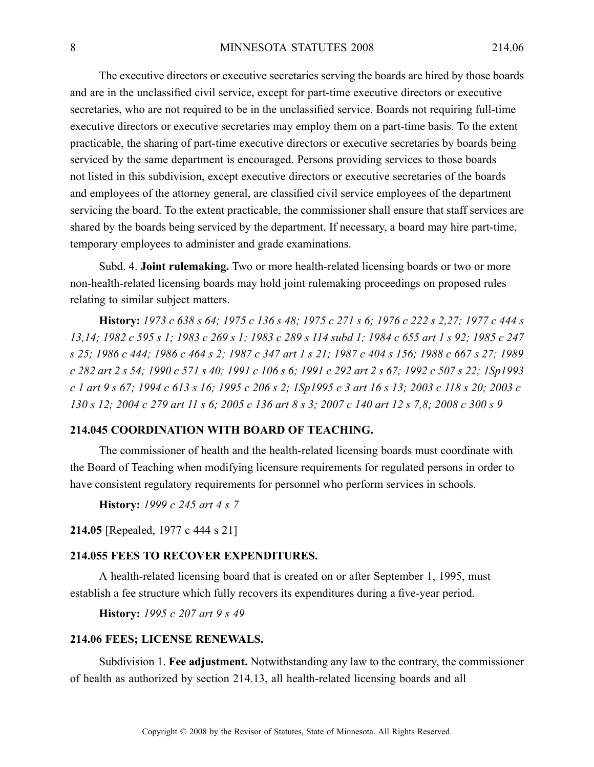The executive directors or executive secretaries serving the boards are hired by those boards and are in the unclassified civil service, excep<sup>t</sup> for part-time executive directors or executive secretaries, who are not required to be in the unclassified service. Boards not requiring full-time executive directors or executive secretaries may employ them on <sup>a</sup> part-time basis. To the extent practicable, the sharing of part-time executive directors or executive secretaries by boards being serviced by the same department is encouraged. Persons providing services to those boards not listed in this subdivision, excep<sup>t</sup> executive directors or executive secretaries of the boards and employees of the attorney general, are classified civil service employees of the department servicing the board. To the extent practicable, the commissioner shall ensure that staff services are shared by the boards being serviced by the department. If necessary, <sup>a</sup> board may hire part-time, temporary employees to administer and grade examinations.

Subd. 4. **Joint rulemaking.** Two or more health-related licensing boards or two or more non-health-related licensing boards may hold joint rulemaking proceedings on proposed rules relating to similar subject matters.

History: 1973 c 638 s 64; 1975 c 136 s 48; 1975 c 271 s 6; 1976 c 222 s 2,27; 1977 c 444 s 13,14; 1982 c 595 s 1; 1983 c 269 s 1; 1983 c 289 s 114 subd 1; 1984 c 655 art 1 s 92; 1985 c 247 s 25; 1986 c 444; 1986 c 464 s 2; 1987 c 347 art 1 s 21; 1987 c 404 s 156; 1988 c 667 s 27; 1989 c 282 art 2 s 54; 1990 c 571 s 40; 1991 c 106 s 6; 1991 c 292 art 2 s 67; 1992 c 507 s 22; 1Sp1993 c 1 art 9 s 67; 1994 c 613 s 16; 1995 c 206 s 2; 1Sp1995 c 3 art 16 s 13; 2003 c 118 s 20; 2003 c 130 s 12; 2004 c 279 art 11 s 6; 2005 c 136 art 8 s 3; 2007 c 140 art 12 s 7,8; 2008 c 300 s 9

#### **214.045 COORDINATION WITH BOARD OF TEACHING.**

The commissioner of health and the health-related licensing boards must coordinate with the Board of Teaching when modifying licensure requirements for regulated persons in order to have consistent regulatory requirements for personnel who perform services in schools.

**History:** *1999 <sup>c</sup> 245 art 4 <sup>s</sup> 7*

**214.05** [Repealed, 1977 <sup>c</sup> 444 <sup>s</sup> 21]

## **214.055 FEES TO RECOVER EXPENDITURES.**

A health-related licensing board that is created on or after September 1, 1995, must establish <sup>a</sup> fee structure which fully recovers its expenditures during <sup>a</sup> five-year period.

**History:** *1995 <sup>c</sup> 207 art 9 <sup>s</sup> 49*

#### **214.06 FEES; LICENSE RENEWALS.**

Subdivision 1. **Fee adjustment.** Notwithstanding any law to the contrary, the commissioner of health as authorized by section 214.13, all health-related licensing boards and all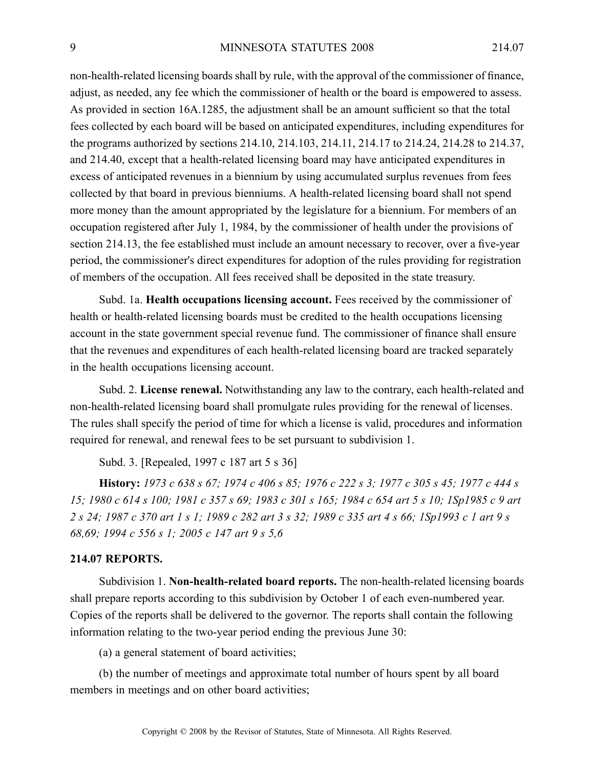non-health-related licensing boards shall by rule, with the approval of the commissioner of finance, adjust, as needed, any fee which the commissioner of health or the board is empowered to assess. As provided in section 16A.1285, the adjustment shall be an amount sufficient so that the total fees collected by each board will be based on anticipated expenditures, including expenditures for the programs authorized by sections 214.10, 214.103, 214.11, 214.17 to 214.24, 214.28 to 214.37, and 214.40, excep<sup>t</sup> that <sup>a</sup> health-related licensing board may have anticipated expenditures in excess of anticipated revenues in <sup>a</sup> biennium by using accumulated surplus revenues from fees collected by that board in previous bienniums. Ahealth-related licensing board shall not spend more money than the amount appropriated by the legislature for <sup>a</sup> biennium. For members of an occupation registered after July 1, 1984, by the commissioner of health under the provisions of section 214.13, the fee established must include an amount necessary to recover, over <sup>a</sup> five-year period, the commissioner's direct expenditures for adoption of the rules providing for registration of members of the occupation. All fees received shall be deposited in the state treasury.

Subd. 1a. **Health occupations licensing account.** Fees received by the commissioner of health or health-related licensing boards must be credited to the health occupations licensing account in the state governmen<sup>t</sup> special revenue fund. The commissioner of finance shall ensure that the revenues and expenditures of each health-related licensing board are tracked separately in the health occupations licensing account.

Subd. 2. **License renewal.** Notwithstanding any law to the contrary, each health-related and non-health-related licensing board shall promulgate rules providing for the renewal of licenses. The rules shall specify the period of time for which <sup>a</sup> license is valid, procedures and information required for renewal, and renewal fees to be set pursuan<sup>t</sup> to subdivision 1.

Subd. 3. [Repealed, 1997 c 187 art 5 s 36]

History: 1973 c 638 s 67; 1974 c 406 s 85; 1976 c 222 s 3; 1977 c 305 s 45; 1977 c 444 s 15; 1980 c 614 s 100; 1981 c 357 s 69; 1983 c 301 s 165; 1984 c 654 art 5 s 10; 1Sp1985 c 9 art 2 s 24; 1987 c 370 art 1 s 1; 1989 c 282 art 3 s 32; 1989 c 335 art 4 s 66; 1Sp1993 c 1 art 9 s *68,69; 1994 <sup>c</sup> 556 <sup>s</sup> 1; 2005 <sup>c</sup> 147 art 9 <sup>s</sup> 5,6*

## **214.07 REPORTS.**

Subdivision 1. **Non-health-related board reports.** The non-health-related licensing boards shall prepare reports according to this subdivision by October 1 of each even-numbered year. Copies of the reports shall be delivered to the governor. The reports shall contain the following information relating to the two-year period ending the previous June 30:

(a) <sup>a</sup> general statement of board activities;

(b) the number of meetings and approximate total number of hours spen<sup>t</sup> by all board members in meetings and on other board activities;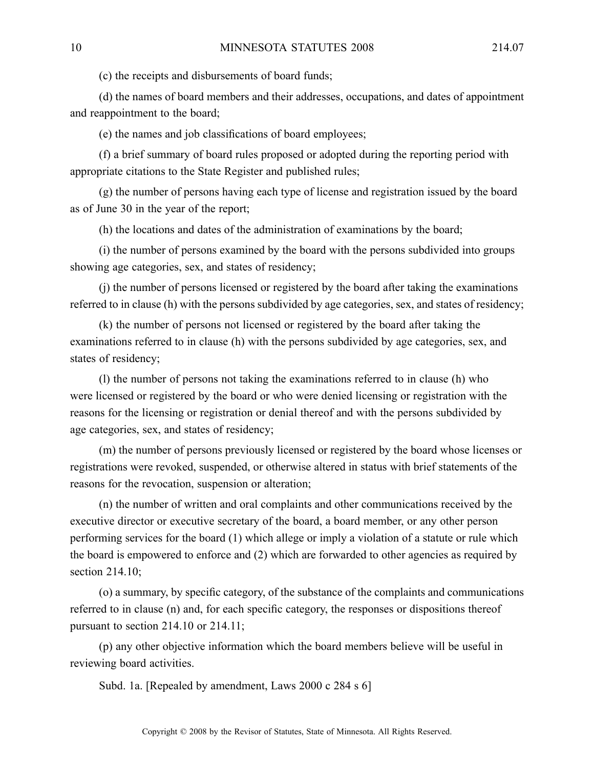(c) the receipts and disbursements of board funds;

(d) the names of board members and their addresses, occupations, and dates of appointment and reappointment to the board;

(e) the names and job classifications of board employees;

(f) <sup>a</sup> brief summary of board rules proposed or adopted during the reporting period with appropriate citations to the State Register and published rules;

(g) the number of persons having each type of license and registration issued by the board as of June 30 in the year of the report;

(h) the locations and dates of the administration of examinations by the board;

(i) the number of persons examined by the board with the persons subdivided into groups showing age categories, sex, and states of residency;

(j) the number of persons licensed or registered by the board after taking the examinations referred to in clause (h) with the persons subdivided by age categories, sex, and states of residency;

(k) the number of persons not licensed or registered by the board after taking the examinations referred to in clause (h) with the persons subdivided by age categories, sex, and states of residency;

(l) the number of persons not taking the examinations referred to in clause (h) who were licensed or registered by the board or who were denied licensing or registration with the reasons for the licensing or registration or denial thereof and with the persons subdivided by age categories, sex, and states of residency;

(m) the number of persons previously licensed or registered by the board whose licenses or registrations were revoked, suspended, or otherwise altered in status with brief statements of the reasons for the revocation, suspension or alteration;

(n) the number of written and oral complaints and other communications received by the executive director or executive secretary of the board, <sup>a</sup> board member, or any other person performing services for the board (1) which allege or imply <sup>a</sup> violation of <sup>a</sup> statute or rule which the board is empowered to enforce and (2) which are forwarded to other agencies as required by section 214.10:

(o) <sup>a</sup> summary, by specific category, of the substance of the complaints and communications referred to in clause (n) and, for each specific category, the responses or dispositions thereof pursuan<sup>t</sup> to section 214.10 or 214.11;

(p) any other objective information which the board members believe will be useful in reviewing board activities.

Subd. 1a. [Repealed by amendment, Laws 2000 c 284 s 6]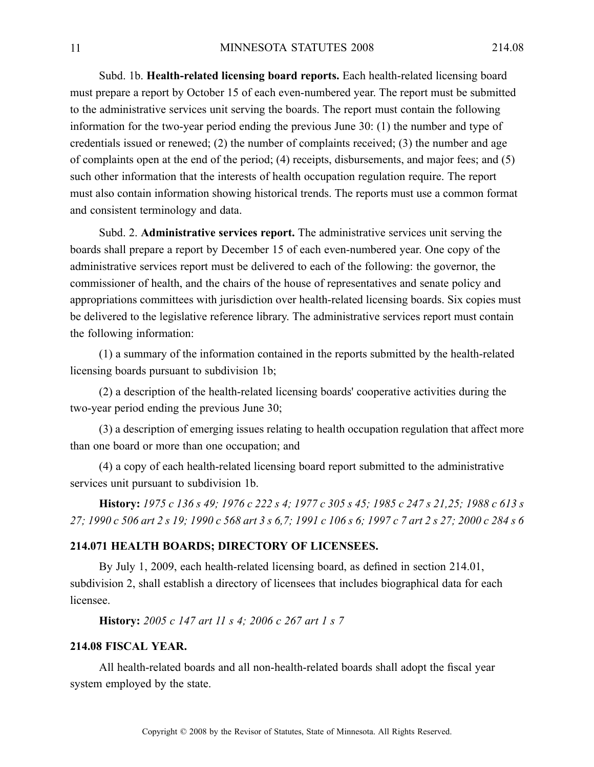Subd. 1b. **Health-related licensing board reports.** Each health-related licensing board must prepare <sup>a</sup> repor<sup>t</sup> by October 15 of each even-numbered year. The repor<sup>t</sup> must be submitted to the administrative services unit serving the boards. The repor<sup>t</sup> must contain the following information for the two-year period ending the previous June 30: (1) the number and type of credentials issued or renewed; (2) the number of complaints received; (3) the number and age of complaints open at the end of the period; (4) receipts, disbursements, and major fees; and (5) such other information that the interests of health occupation regulation require. The repor<sup>t</sup> must also contain information showing historical trends. The reports must use <sup>a</sup> common format and consistent terminology and data.

Subd. 2. **Administrative services report.** The administrative services unit serving the boards shall prepare <sup>a</sup> repor<sup>t</sup> by December 15 of each even-numbered year. One copy of the administrative services repor<sup>t</sup> must be delivered to each of the following: the governor, the commissioner of health, and the chairs of the house of representatives and senate policy and appropriations committees with jurisdiction over health-related licensing boards. Six copies must be delivered to the legislative reference library. The administrative services repor<sup>t</sup> must contain the following information:

(1) <sup>a</sup> summary of the information contained in the reports submitted by the health-related licensing boards pursuan<sup>t</sup> to subdivision 1b;

(2) <sup>a</sup> description of the health-related licensing boards' cooperative activities during the two-year period ending the previous June 30;

(3) <sup>a</sup> description of emerging issues relating to health occupation regulation that affect more than one board or more than one occupation; and

(4) <sup>a</sup> copy of each health-related licensing board repor<sup>t</sup> submitted to the administrative services unit pursuan<sup>t</sup> to subdivision 1b.

History: 1975 c 136 s 49; 1976 c 222 s 4; 1977 c 305 s 45; 1985 c 247 s 21,25; 1988 c 613 s 27; 1990 c 506 art 2 s 19; 1990 c 568 art 3 s 6,7; 1991 c 106 s 6; 1997 c 7 art 2 s 27; 2000 c 284 s 6

### **214.071 HEALTH BOARDS; DIRECTORY OF LICENSEES.**

By July 1, 2009, each health-related licensing board, as defined in section 214.01, subdivision 2, shall establish <sup>a</sup> directory of licensees that includes biographical data for each licensee.

**History:** *2005 <sup>c</sup> 147 art 11 <sup>s</sup> 4; 2006 <sup>c</sup> 267 art 1 <sup>s</sup> 7*

## **214.08 FISCAL YEAR.**

All health-related boards and all non-health-related boards shall adopt the fiscal year system employed by the state.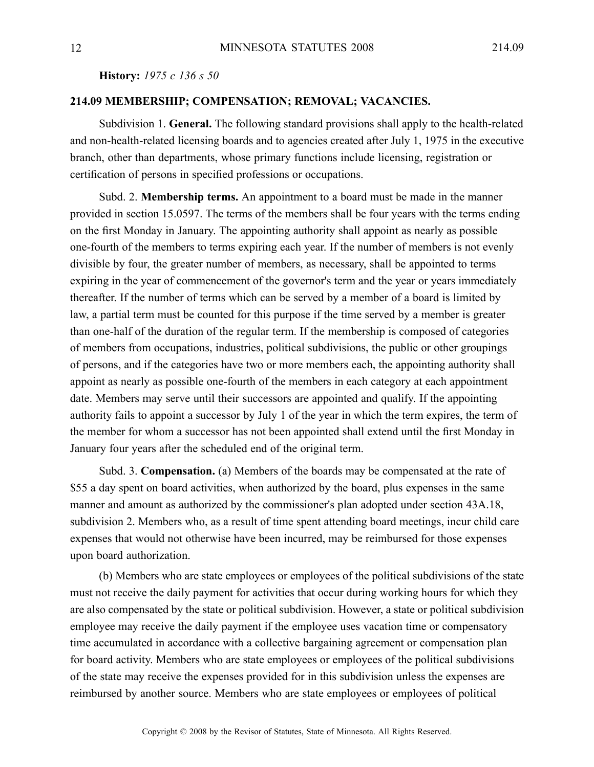**History:** *1975 <sup>c</sup> 136 <sup>s</sup> 50*

## **214.09 MEMBERSHIP; COMPENSATION; REMOVAL; VACANCIES.**

Subdivision 1. **General.** The following standard provisions shall apply to the health-related and non-health-related licensing boards and to agencies created after July 1, 1975 in the executive branch, other than departments, whose primary functions include licensing, registration or certification of persons in specified professions or occupations.

Subd. 2. **Membership terms.** An appointment to <sup>a</sup> board must be made in the manner provided in section 15.0597. The terms of the members shall be four years with the terms ending on the first Monday in January. The appointing authority shall appoint as nearly as possible one-fourth of the members to terms expiring each year. If the number of members is not evenly divisible by four, the greater number of members, as necessary, shall be appointed to terms expiring in the year of commencement of the governor's term and the year or years immediately thereafter. If the number of terms which can be served by <sup>a</sup> member of <sup>a</sup> board is limited by law, <sup>a</sup> partial term must be counted for this purpose if the time served by <sup>a</sup> member is greater than one-half of the duration of the regular term. If the membership is composed of categories of members from occupations, industries, political subdivisions, the public or other groupings of persons, and if the categories have two or more members each, the appointing authority shall appoint as nearly as possible one-fourth of the members in each category at each appointment date. Members may serve until their successors are appointed and qualify. If the appointing authority fails to appoint <sup>a</sup> successor by July 1 of the year in which the term expires, the term of the member for whom <sup>a</sup> successor has not been appointed shall extend until the first Monday in January four years after the scheduled end of the original term.

Subd. 3. **Compensation.** (a) Members of the boards may be compensated at the rate of \$55 <sup>a</sup> day spen<sup>t</sup> on board activities, when authorized by the board, plus expenses in the same manner and amount as authorized by the commissioner's plan adopted under section 43A.18, subdivision 2. Members who, as <sup>a</sup> result of time spen<sup>t</sup> attending board meetings, incur child care expenses that would not otherwise have been incurred, may be reimbursed for those expenses upon board authorization.

(b) Members who are state employees or employees of the political subdivisions of the state must not receive the daily paymen<sup>t</sup> for activities that occur during working hours for which they are also compensated by the state or political subdivision. However, <sup>a</sup> state or political subdivision employee may receive the daily paymen<sup>t</sup> if the employee uses vacation time or compensatory time accumulated in accordance with <sup>a</sup> collective bargaining agreemen<sup>t</sup> or compensation plan for board activity. Members who are state employees or employees of the political subdivisions of the state may receive the expenses provided for in this subdivision unless the expenses are reimbursed by another source. Members who are state employees or employees of political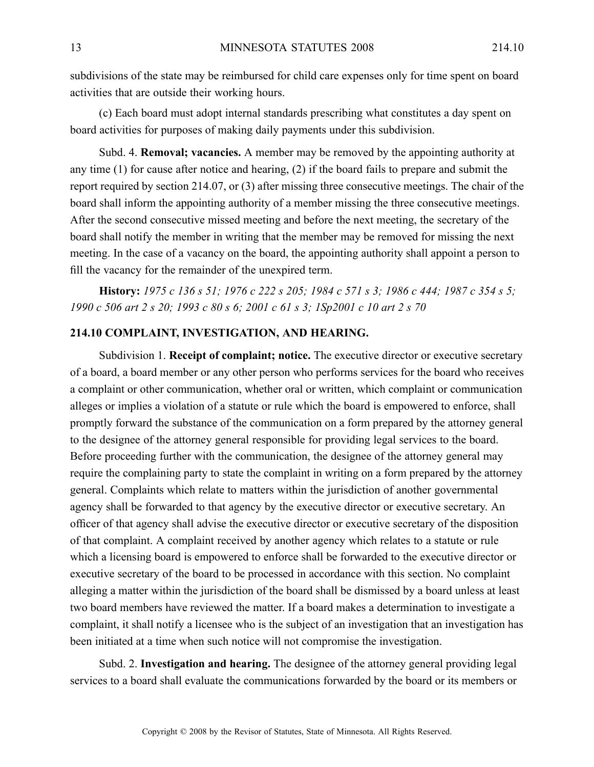subdivisions of the state may be reimbursed for child care expenses only for time spen<sup>t</sup> on board activities that are outside their working hours.

(c) Each board must adopt internal standards prescribing what constitutes <sup>a</sup> day spen<sup>t</sup> on board activities for purposes of making daily payments under this subdivision.

Subd. 4. **Removal; vacancies.** A member may be removed by the appointing authority at any time (1) for cause after notice and hearing, (2) if the board fails to prepare and submit the repor<sup>t</sup> required by section 214.07, or (3) after missing three consecutive meetings. The chair of the board shall inform the appointing authority of <sup>a</sup> member missing the three consecutive meetings. After the second consecutive missed meeting and before the next meeting, the secretary of the board shall notify the member in writing that the member may be removed for missing the next meeting. In the case of <sup>a</sup> vacancy on the board, the appointing authority shall appoint <sup>a</sup> person to fill the vacancy for the remainder of the unexpired term.

History: 1975 c 136 s 51; 1976 c 222 s 205; 1984 c 571 s 3; 1986 c 444; 1987 c 354 s 5; 1990 c 506 art 2 s 20; 1993 c 80 s 6; 2001 c 61 s 3; 1Sp2001 c 10 art 2 s 70

#### **214.10 COMPLAINT, INVESTIGATION, AND HEARING.**

Subdivision 1. **Receipt of complaint; notice.** The executive director or executive secretary of <sup>a</sup> board, <sup>a</sup> board member or any other person who performs services for the board who receives <sup>a</sup> complaint or other communication, whether oral or written, which complaint or communication alleges or implies <sup>a</sup> violation of <sup>a</sup> statute or rule which the board is empowered to enforce, shall promptly forward the substance of the communication on <sup>a</sup> form prepared by the attorney general to the designee of the attorney general responsible for providing legal services to the board. Before proceeding further with the communication, the designee of the attorney general may require the complaining party to state the complaint in writing on <sup>a</sup> form prepared by the attorney general. Complaints which relate to matters within the jurisdiction of another governmental agency shall be forwarded to that agency by the executive director or executive secretary. An officer of that agency shall advise the executive director or executive secretary of the disposition of that complaint. Acomplaint received by another agency which relates to <sup>a</sup> statute or rule which <sup>a</sup> licensing board is empowered to enforce shall be forwarded to the executive director or executive secretary of the board to be processed in accordance with this section. No complaint alleging <sup>a</sup> matter within the jurisdiction of the board shall be dismissed by <sup>a</sup> board unless at least two board members have reviewed the matter. If <sup>a</sup> board makes <sup>a</sup> determination to investigate <sup>a</sup> complaint, it shall notify <sup>a</sup> licensee who is the subject of an investigation that an investigation has been initiated at <sup>a</sup> time when such notice will not compromise the investigation.

Subd. 2. **Investigation and hearing.** The designee of the attorney general providing legal services to <sup>a</sup> board shall evaluate the communications forwarded by the board or its members or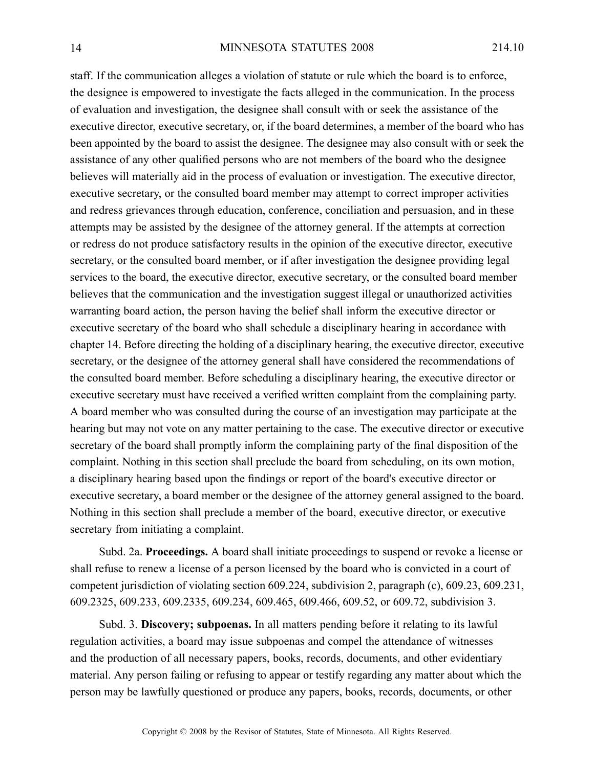staff. If the communication alleges <sup>a</sup> violation of statute or rule which the board is to enforce, the designee is empowered to investigate the facts alleged in the communication. In the process of evaluation and investigation, the designee shall consult with or seek the assistance of the executive director, executive secretary, or, if the board determines, <sup>a</sup> member of the board who has been appointed by the board to assist the designee. The designee may also consult with or seek the assistance of any other qualified persons who are not members of the board who the designee believes will materially aid in the process of evaluation or investigation. The executive director, executive secretary, or the consulted board member may attempt to correct improper activities and redress grievances through education, conference, conciliation and persuasion, and in these attempts may be assisted by the designee of the attorney general. If the attempts at correction or redress do not produce satisfactory results in the opinion of the executive director, executive secretary, or the consulted board member, or if after investigation the designee providing legal services to the board, the executive director, executive secretary, or the consulted board member believes that the communication and the investigation sugges<sup>t</sup> illegal or unauthorized activities warranting board action, the person having the belief shall inform the executive director or executive secretary of the board who shall schedule <sup>a</sup> disciplinary hearing in accordance with chapter 14. Before directing the holding of <sup>a</sup> disciplinary hearing, the executive director, executive secretary, or the designee of the attorney general shall have considered the recommendations of the consulted board member. Before scheduling <sup>a</sup> disciplinary hearing, the executive director or executive secretary must have received <sup>a</sup> verified written complaint from the complaining party. A board member who was consulted during the course of an investigation may participate at the hearing but may not vote on any matter pertaining to the case. The executive director or executive secretary of the board shall promptly inform the complaining party of the final disposition of the complaint. Nothing in this section shall preclude the board from scheduling, on its own motion, <sup>a</sup> disciplinary hearing based upon the findings or repor<sup>t</sup> of the board's executive director or executive secretary, <sup>a</sup> board member or the designee of the attorney general assigned to the board. Nothing in this section shall preclude <sup>a</sup> member of the board, executive director, or executive secretary from initiating <sup>a</sup> complaint.

Subd. 2a. **Proceedings.** Aboard shall initiate proceedings to suspend or revoke <sup>a</sup> license or shall refuse to renew <sup>a</sup> license of <sup>a</sup> person licensed by the board who is convicted in <sup>a</sup> court of competent jurisdiction of violating section 609.224, subdivision 2, paragraph (c), 609.23, 609.231, 609.2325, 609.233, 609.2335, 609.234, 609.465, 609.466, 609.52, or 609.72, subdivision 3.

Subd. 3. **Discovery; subpoenas.** In all matters pending before it relating to its lawful regulation activities, <sup>a</sup> board may issue subpoenas and compel the attendance of witnesses and the production of all necessary papers, books, records, documents, and other evidentiary material. Any person failing or refusing to appear or testify regarding any matter about which the person may be lawfully questioned or produce any papers, books, records, documents, or other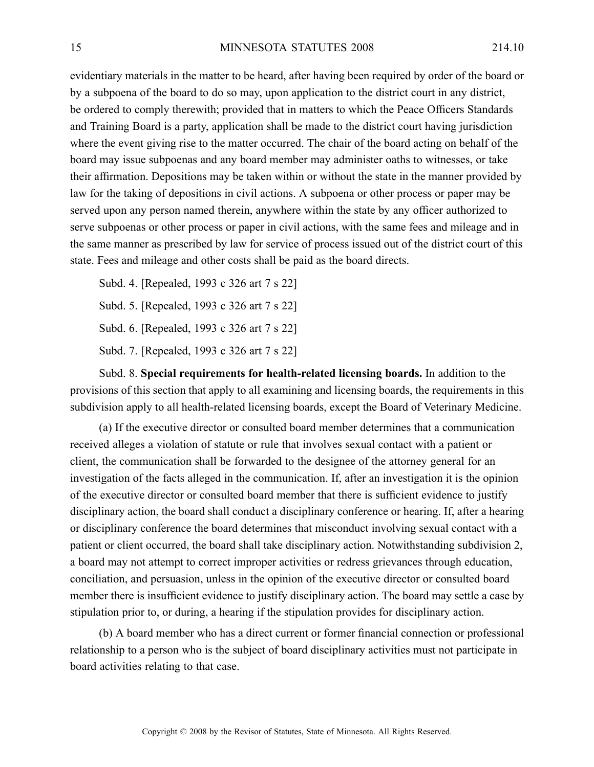evidentiary materials in the matter to be heard, after having been required by order of the board or by <sup>a</sup> subpoena of the board to do so may, upon application to the district court in any district, be ordered to comply therewith; provided that in matters to which the Peace Officers Standards and Training Board is <sup>a</sup> party, application shall be made to the district court having jurisdiction where the event giving rise to the matter occurred. The chair of the board acting on behalf of the board may issue subpoenas and any board member may administer oaths to witnesses, or take their affirmation. Depositions may be taken within or without the state in the manner provided by law for the taking of depositions in civil actions. A subpoena or other process or paper may be served upon any person named therein, anywhere within the state by any officer authorized to serve subpoenas or other process or paper in civil actions, with the same fees and mileage and in the same manner as prescribed by law for service of process issued out of the district court of this state. Fees and mileage and other costs shall be paid as the board directs.

Subd. 4. [Repealed, 1993 <sup>c</sup> 326 art 7 <sup>s</sup> 22] Subd. 5. [Repealed, 1993 <sup>c</sup> 326 art 7 <sup>s</sup> 22] Subd. 6. [Repealed, 1993 <sup>c</sup> 326 art 7 <sup>s</sup> 22] Subd. 7. [Repealed, 1993 <sup>c</sup> 326 art 7 <sup>s</sup> 22]

Subd. 8. **Special requirements for health-related licensing boards.** In addition to the provisions of this section that apply to all examining and licensing boards, the requirements in this subdivision apply to all health-related licensing boards, excep<sup>t</sup> the Board of Veterinary Medicine.

(a) If the executive director or consulted board member determines that <sup>a</sup> communication received alleges <sup>a</sup> violation of statute or rule that involves sexual contact with <sup>a</sup> patient or client, the communication shall be forwarded to the designee of the attorney general for an investigation of the facts alleged in the communication. If, after an investigation it is the opinion of the executive director or consulted board member that there is sufficient evidence to justify disciplinary action, the board shall conduct <sup>a</sup> disciplinary conference or hearing. If, after <sup>a</sup> hearing or disciplinary conference the board determines that misconduct involving sexual contact with <sup>a</sup> patient or client occurred, the board shall take disciplinary action. Notwithstanding subdivision 2, <sup>a</sup> board may not attempt to correct improper activities or redress grievances through education, conciliation, and persuasion, unless in the opinion of the executive director or consulted board member there is insufficient evidence to justify disciplinary action. The board may settle <sup>a</sup> case by stipulation prior to, or during, <sup>a</sup> hearing if the stipulation provides for disciplinary action.

(b) A board member who has <sup>a</sup> direct current or former financial connection or professional relationship to <sup>a</sup> person who is the subject of board disciplinary activities must not participate in board activities relating to that case.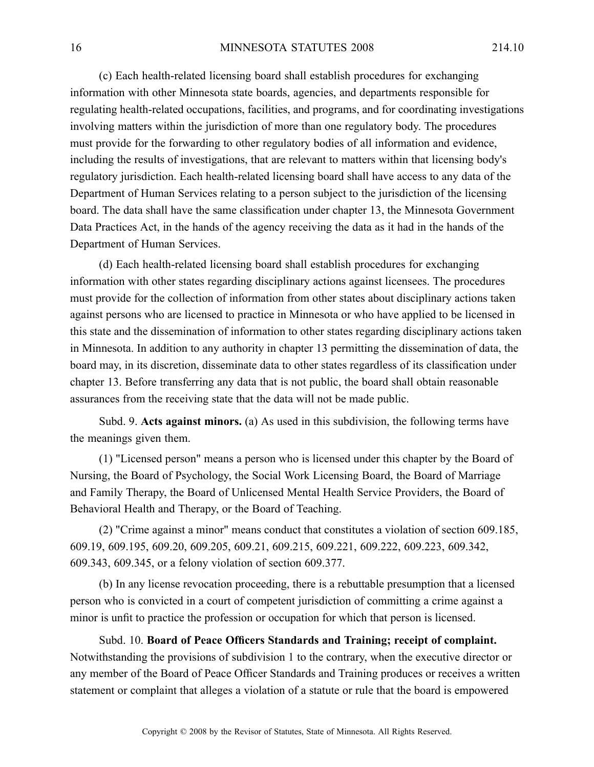(c) Each health-related licensing board shall establish procedures for exchanging information with other Minnesota state boards, agencies, and departments responsible for regulating health-related occupations, facilities, and programs, and for coordinating investigations involving matters within the jurisdiction of more than one regulatory body. The procedures must provide for the forwarding to other regulatory bodies of all information and evidence, including the results of investigations, that are relevant to matters within that licensing body's regulatory jurisdiction. Each health-related licensing board shall have access to any data of the Department of Human Services relating to <sup>a</sup> person subject to the jurisdiction of the licensing board. The data shall have the same classification under chapter 13, the Minnesota Government Data Practices Act, in the hands of the agency receiving the data as it had in the hands of the Department of Human Services.

(d) Each health-related licensing board shall establish procedures for exchanging information with other states regarding disciplinary actions against licensees. The procedures must provide for the collection of information from other states about disciplinary actions taken against persons who are licensed to practice in Minnesota or who have applied to be licensed in this state and the dissemination of information to other states regarding disciplinary actions taken in Minnesota. In addition to any authority in chapter 13 permitting the dissemination of data, the board may, in its discretion, disseminate data to other states regardless of its classification under chapter 13. Before transferring any data that is not public, the board shall obtain reasonable assurances from the receiving state that the data will not be made public.

Subd. 9. **Acts against minors.** (a) As used in this subdivision, the following terms have the meanings given them.

(1) "Licensed person" means <sup>a</sup> person who is licensed under this chapter by the Board of Nursing, the Board of Psychology, the Social Work Licensing Board, the Board of Marriage and Family Therapy, the Board of Unlicensed Mental Health Service Providers, the Board of Behavioral Health and Therapy, or the Board of Teaching.

(2) "Crime against <sup>a</sup> minor" means conduct that constitutes <sup>a</sup> violation of section 609.185, 609.19, 609.195, 609.20, 609.205, 609.21, 609.215, 609.221, 609.222, 609.223, 609.342, 609.343, 609.345, or <sup>a</sup> felony violation of section 609.377.

(b) In any license revocation proceeding, there is <sup>a</sup> rebuttable presumption that <sup>a</sup> licensed person who is convicted in <sup>a</sup> court of competent jurisdiction of committing <sup>a</sup> crime against <sup>a</sup> minor is unfit to practice the profession or occupation for which that person is licensed.

Subd. 10. **Board of Peace Officers Standards and Training; receipt of complaint.** Notwithstanding the provisions of subdivision 1 to the contrary, when the executive director or any member of the Board of Peace Officer Standards and Training produces or receives <sup>a</sup> written statement or complaint that alleges <sup>a</sup> violation of <sup>a</sup> statute or rule that the board is empowered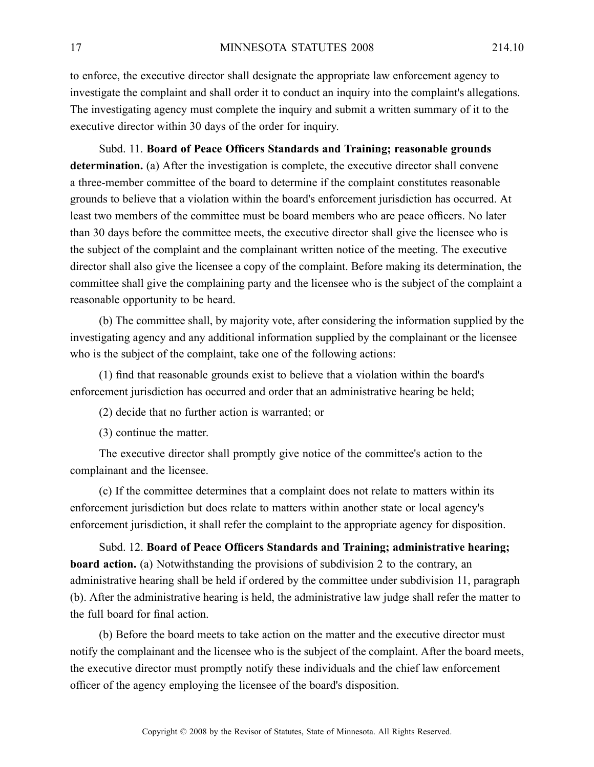to enforce, the executive director shall designate the appropriate law enforcement agency to investigate the complaint and shall order it to conduct an inquiry into the complaint's allegations. The investigating agency must complete the inquiry and submit <sup>a</sup> written summary of it to the executive director within 30 days of the order for inquiry.

Subd. 11. **Board of Peace Officers Standards and Training; reasonable grounds determination.** (a) After the investigation is complete, the executive director shall convene <sup>a</sup> three-member committee of the board to determine if the complaint constitutes reasonable grounds to believe that <sup>a</sup> violation within the board's enforcement jurisdiction has occurred. At least two members of the committee must be board members who are peace officers. No later than 30 days before the committee meets, the executive director shall give the licensee who is the subject of the complaint and the complainant written notice of the meeting. The executive director shall also give the licensee <sup>a</sup> copy of the complaint. Before making its determination, the committee shall give the complaining party and the licensee who is the subject of the complaint <sup>a</sup> reasonable opportunity to be heard.

(b) The committee shall, by majority vote, after considering the information supplied by the investigating agency and any additional information supplied by the complainant or the licensee who is the subject of the complaint, take one of the following actions:

(1) find that reasonable grounds exist to believe that <sup>a</sup> violation within the board's enforcement jurisdiction has occurred and order that an administrative hearing be held;

(2) decide that no further action is warranted; or

(3) continue the matter.

The executive director shall promptly give notice of the committee's action to the complainant and the licensee.

(c) If the committee determines that <sup>a</sup> complaint does not relate to matters within its enforcement jurisdiction but does relate to matters within another state or local agency's enforcement jurisdiction, it shall refer the complaint to the appropriate agency for disposition.

Subd. 12. **Board of Peace Officers Standards and Training; administrative hearing; board action.** (a) Notwithstanding the provisions of subdivision 2 to the contrary, an administrative hearing shall be held if ordered by the committee under subdivision 11, paragraph (b). After the administrative hearing is held, the administrative law judge shall refer the matter to the full board for final action.

(b) Before the board meets to take action on the matter and the executive director must notify the complainant and the licensee who is the subject of the complaint. After the board meets, the executive director must promptly notify these individuals and the chief law enforcement officer of the agency employing the licensee of the board's disposition.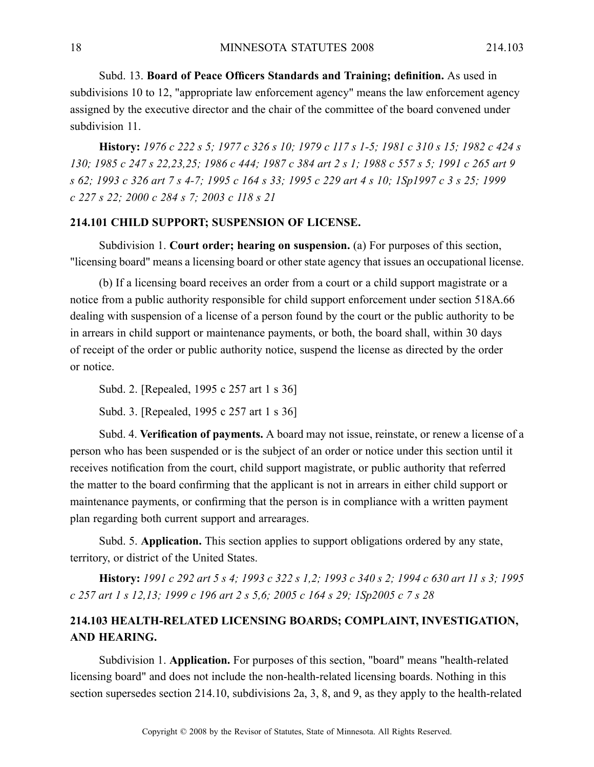Subd. 13. **Board of Peace Officers Standards and Training; definition.** As used in subdivisions 10 to 12, "appropriate law enforcement agency" means the law enforcement agency assigned by the executive director and the chair of the committee of the board convened under subdivision 11

History: 1976 c 222 s 5; 1977 c 326 s 10; 1979 c 117 s 1-5; 1981 c 310 s 15; 1982 c 424 s 130; 1985 c 247 s 22,23,25; 1986 c 444; 1987 c 384 art 2 s 1; 1988 c 557 s 5; 1991 c 265 art 9 s 62; 1993 c 326 art 7 s 4-7; 1995 c 164 s 33; 1995 c 229 art 4 s 10; 1Sp1997 c 3 s 25; 1999 *<sup>c</sup> 227 <sup>s</sup> 22; 2000 <sup>c</sup> 284 <sup>s</sup> 7; 2003 <sup>c</sup> 118 <sup>s</sup> 21*

## **214.101 CHILD SUPPORT; SUSPENSION OF LICENSE.**

Subdivision 1. **Court order; hearing on suspension.** (a) For purposes of this section, "licensing board" means <sup>a</sup> licensing board or other state agency that issues an occupational license.

(b) If <sup>a</sup> licensing board receives an order from <sup>a</sup> court or <sup>a</sup> child suppor<sup>t</sup> magistrate or <sup>a</sup> notice from <sup>a</sup> public authority responsible for child suppor<sup>t</sup> enforcement under section 518A.66 dealing with suspension of <sup>a</sup> license of <sup>a</sup> person found by the court or the public authority to be in arrears in child suppor<sup>t</sup> or maintenance payments, or both, the board shall, within 30 days of receipt of the order or public authority notice, suspend the license as directed by the order or notice.

Subd. 2. [Repealed, 1995 <sup>c</sup> 257 art 1 <sup>s</sup> 36]

Subd. 3. [Repealed, 1995 <sup>c</sup> 257 art 1 <sup>s</sup> 36]

Subd. 4. **Verification of payments.** A board may not issue, reinstate, or renew <sup>a</sup> license of <sup>a</sup> person who has been suspended or is the subject of an order or notice under this section until it receives notification from the court, child suppor<sup>t</sup> magistrate, or public authority that referred the matter to the board confirming that the applicant is not in arrears in either child suppor<sup>t</sup> or maintenance payments, or confirming that the person is in compliance with <sup>a</sup> written paymen<sup>t</sup> plan regarding both current suppor<sup>t</sup> and arrearages.

Subd. 5. **Application.** This section applies to suppor<sup>t</sup> obligations ordered by any state, territory, or district of the United States.

History: 1991 c 292 art 5 s 4; 1993 c 322 s 1.2; 1993 c 340 s 2; 1994 c 630 art 11 s 3; 1995 c 257 art 1 s 12,13; 1999 c 196 art 2 s 5,6; 2005 c 164 s 29; 1Sp2005 c 7 s 28

## **214.103 HEALTH-RELATED LICENSING BOARDS; COMPLAINT, INVESTIGATION, AND HEARING.**

Subdivision 1. **Application.** For purposes of this section, "board" means "health-related licensing board" and does not include the non-health-related licensing boards. Nothing in this section supersedes section 214.10, subdivisions 2a, 3, 8, and 9, as they apply to the health-related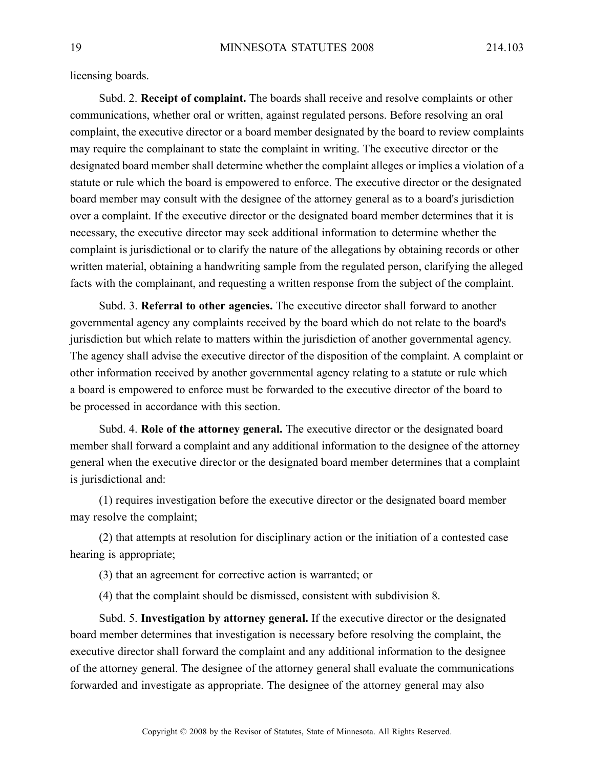licensing boards.

Subd. 2. **Receipt of complaint.** The boards shall receive and resolve complaints or other communications, whether oral or written, against regulated persons. Before resolving an oral complaint, the executive director or <sup>a</sup> board member designated by the board to review complaints may require the complainant to state the complaint in writing. The executive director or the designated board member shall determine whether the complaint alleges or implies <sup>a</sup> violation of <sup>a</sup> statute or rule which the board is empowered to enforce. The executive director or the designated board member may consult with the designee of the attorney general as to <sup>a</sup> board's jurisdiction over <sup>a</sup> complaint. If the executive director or the designated board member determines that it is necessary, the executive director may seek additional information to determine whether the complaint is jurisdictional or to clarify the nature of the allegations by obtaining records or other written material, obtaining <sup>a</sup> handwriting sample from the regulated person, clarifying the alleged facts with the complainant, and requesting <sup>a</sup> written response from the subject of the complaint.

Subd. 3. **Referral to other agencies.** The executive director shall forward to another governmental agency any complaints received by the board which do not relate to the board's jurisdiction but which relate to matters within the jurisdiction of another governmental agency. The agency shall advise the executive director of the disposition of the complaint. A complaint or other information received by another governmental agency relating to <sup>a</sup> statute or rule which <sup>a</sup> board is empowered to enforce must be forwarded to the executive director of the board to be processed in accordance with this section.

Subd. 4. **Role of the attorney general.** The executive director or the designated board member shall forward <sup>a</sup> complaint and any additional information to the designee of the attorney general when the executive director or the designated board member determines that <sup>a</sup> complaint is jurisdictional and:

(1) requires investigation before the executive director or the designated board member may resolve the complaint;

(2) that attempts at resolution for disciplinary action or the initiation of <sup>a</sup> contested case hearing is appropriate;

(3) that an agreemen<sup>t</sup> for corrective action is warranted; or

(4) that the complaint should be dismissed, consistent with subdivision 8.

Subd. 5. **Investigation by attorney general.** If the executive director or the designated board member determines that investigation is necessary before resolving the complaint, the executive director shall forward the complaint and any additional information to the designee of the attorney general. The designee of the attorney general shall evaluate the communications forwarded and investigate as appropriate. The designee of the attorney general may also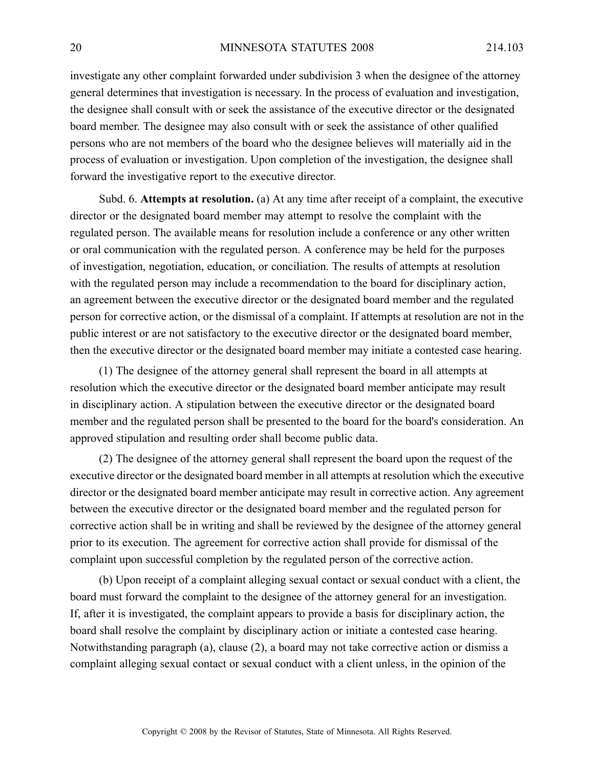investigate any other complaint forwarded under subdivision 3 when the designee of the attorney general determines that investigation is necessary. In the process of evaluation and investigation, the designee shall consult with or seek the assistance of the executive director or the designated board member. The designee may also consult with or seek the assistance of other qualified persons who are not members of the board who the designee believes will materially aid in the process of evaluation or investigation. Upon completion of the investigation, the designee shall forward the investigative repor<sup>t</sup> to the executive director.

Subd. 6. **Attempts at resolution.** (a) At any time after receipt of <sup>a</sup> complaint, the executive director or the designated board member may attempt to resolve the complaint with the regulated person. The available means for resolution include <sup>a</sup> conference or any other written or oral communication with the regulated person. Aconference may be held for the purposes of investigation, negotiation, education, or conciliation. The results of attempts at resolution with the regulated person may include <sup>a</sup> recommendation to the board for disciplinary action, an agreemen<sup>t</sup> between the executive director or the designated board member and the regulated person for corrective action, or the dismissal of <sup>a</sup> complaint. If attempts at resolution are not in the public interest or are not satisfactory to the executive director or the designated board member, then the executive director or the designated board member may initiate <sup>a</sup> contested case hearing.

(1) The designee of the attorney general shall represen<sup>t</sup> the board in all attempts at resolution which the executive director or the designated board member anticipate may result in disciplinary action. A stipulation between the executive director or the designated board member and the regulated person shall be presented to the board for the board's consideration. An approved stipulation and resulting order shall become public data.

(2) The designee of the attorney general shall represen<sup>t</sup> the board upon the reques<sup>t</sup> of the executive director or the designated board member in all attempts at resolution which the executive director or the designated board member anticipate may result in corrective action. Any agreemen<sup>t</sup> between the executive director or the designated board member and the regulated person for corrective action shall be in writing and shall be reviewed by the designee of the attorney general prior to its execution. The agreemen<sup>t</sup> for corrective action shall provide for dismissal of the complaint upon successful completion by the regulated person of the corrective action.

(b) Upon receipt of <sup>a</sup> complaint alleging sexual contact or sexual conduct with <sup>a</sup> client, the board must forward the complaint to the designee of the attorney general for an investigation. If, after it is investigated, the complaint appears to provide <sup>a</sup> basis for disciplinary action, the board shall resolve the complaint by disciplinary action or initiate <sup>a</sup> contested case hearing. Notwithstanding paragraph (a), clause (2), <sup>a</sup> board may not take corrective action or dismiss <sup>a</sup> complaint alleging sexual contact or sexual conduct with <sup>a</sup> client unless, in the opinion of the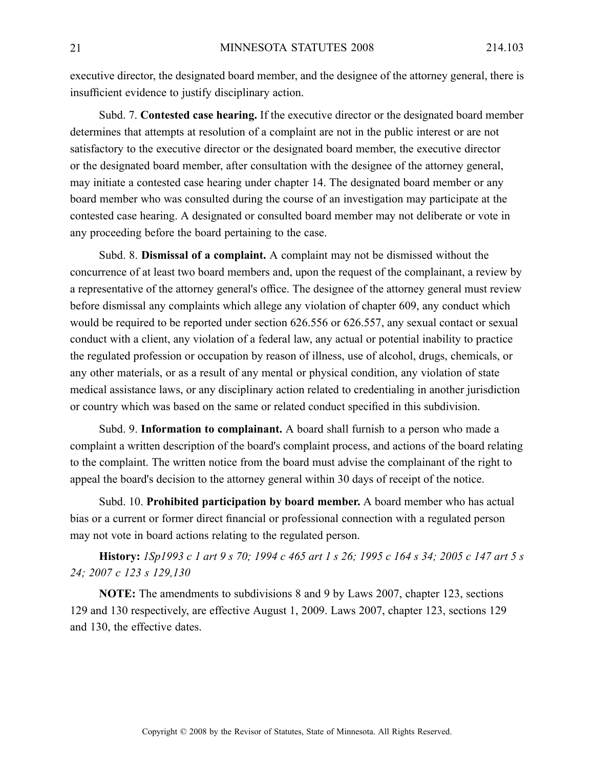executive director, the designated board member, and the designee of the attorney general, there is insufficient evidence to justify disciplinary action.

Subd. 7. **Contested case hearing.** If the executive director or the designated board member determines that attempts at resolution of <sup>a</sup> complaint are not in the public interest or are not satisfactory to the executive director or the designated board member, the executive director or the designated board member, after consultation with the designee of the attorney general, may initiate <sup>a</sup> contested case hearing under chapter 14. The designated board member or any board member who was consulted during the course of an investigation may participate at the contested case hearing. A designated or consulted board member may not deliberate or vote in any proceeding before the board pertaining to the case.

Subd. 8. **Dismissal of <sup>a</sup> complaint.** Acomplaint may not be dismissed without the concurrence of at least two board members and, upon the reques<sup>t</sup> of the complainant, <sup>a</sup> review by <sup>a</sup> representative of the attorney general's office. The designee of the attorney general must review before dismissal any complaints which allege any violation of chapter 609, any conduct which would be required to be reported under section 626.556 or 626.557, any sexual contact or sexual conduct with <sup>a</sup> client, any violation of <sup>a</sup> federal law, any actual or potential inability to practice the regulated profession or occupation by reason of illness, use of alcohol, drugs, chemicals, or any other materials, or as <sup>a</sup> result of any mental or physical condition, any violation of state medical assistance laws, or any disciplinary action related to credentialing in another jurisdiction or country which was based on the same or related conduct specified in this subdivision.

Subd. 9. **Information to complainant.** A board shall furnish to <sup>a</sup> person who made <sup>a</sup> complaint <sup>a</sup> written description of the board's complaint process, and actions of the board relating to the complaint. The written notice from the board must advise the complainant of the right to appeal the board's decision to the attorney general within 30 days of receipt of the notice.

Subd. 10. **Prohibited participation by board member.** Aboard member who has actual bias or <sup>a</sup> current or former direct financial or professional connection with <sup>a</sup> regulated person may not vote in board actions relating to the regulated person.

History: 1Sp1993 c 1 art 9 s 70; 1994 c 465 art 1 s 26; 1995 c 164 s 34; 2005 c 147 art 5 s *24; 2007 <sup>c</sup> 123 <sup>s</sup> 129,130*

**NOTE:** The amendments to subdivisions 8 and 9 by Laws 2007, chapter 123, sections 129 and 130 respectively, are effective August 1, 2009. Laws 2007, chapter 123, sections 129 and 130, the effective dates.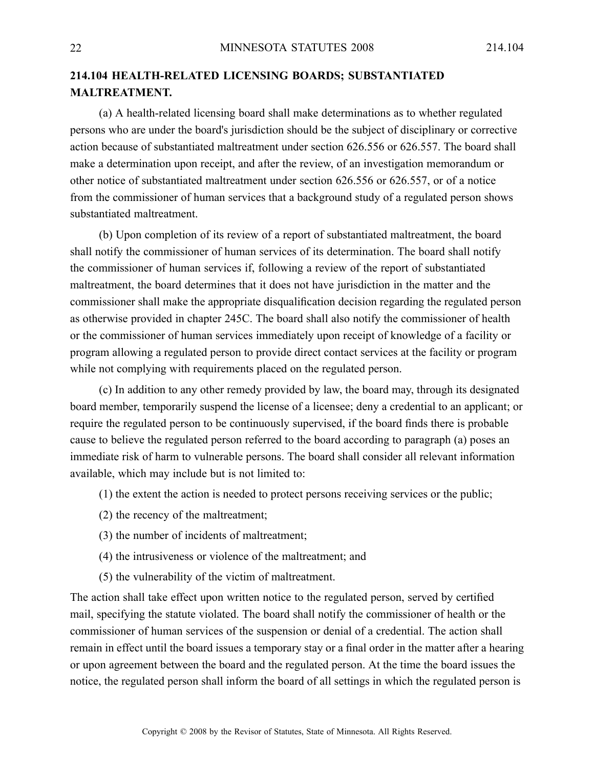## **214.104 HEALTH-RELATED LICENSING BOARDS; SUBSTANTIATED MALTREATMENT.**

(a) A health-related licensing board shall make determinations as to whether regulated persons who are under the board's jurisdiction should be the subject of disciplinary or corrective action because of substantiated maltreatment under section 626.556 or 626.557. The board shall make <sup>a</sup> determination upon receipt, and after the review, of an investigation memorandum or other notice of substantiated maltreatment under section 626.556 or 626.557, or of <sup>a</sup> notice from the commissioner of human services that <sup>a</sup> background study of <sup>a</sup> regulated person shows substantiated maltreatment.

(b) Upon completion of its review of <sup>a</sup> repor<sup>t</sup> of substantiated maltreatment, the board shall notify the commissioner of human services of its determination. The board shall notify the commissioner of human services if, following <sup>a</sup> review of the repor<sup>t</sup> of substantiated maltreatment, the board determines that it does not have jurisdiction in the matter and the commissioner shall make the appropriate disqualification decision regarding the regulated person as otherwise provided in chapter 245C. The board shall also notify the commissioner of health or the commissioner of human services immediately upon receipt of knowledge of <sup>a</sup> facility or program allowing <sup>a</sup> regulated person to provide direct contact services at the facility or program while not complying with requirements placed on the regulated person.

(c) In addition to any other remedy provided by law, the board may, through its designated board member, temporarily suspend the license of <sup>a</sup> licensee; deny <sup>a</sup> credential to an applicant; or require the regulated person to be continuously supervised, if the board finds there is probable cause to believe the regulated person referred to the board according to paragraph (a) poses an immediate risk of harm to vulnerable persons. The board shall consider all relevant information available, which may include but is not limited to:

- (1) the extent the action is needed to protect persons receiving services or the public;
- (2) the recency of the maltreatment;
- (3) the number of incidents of maltreatment;
- (4) the intrusiveness or violence of the maltreatment; and
- (5) the vulnerability of the victim of maltreatment.

The action shall take effect upon written notice to the regulated person, served by certified mail, specifying the statute violated. The board shall notify the commissioner of health or the commissioner of human services of the suspension or denial of <sup>a</sup> credential. The action shall remain in effect until the board issues <sup>a</sup> temporary stay or <sup>a</sup> final order in the matter after <sup>a</sup> hearing or upon agreemen<sup>t</sup> between the board and the regulated person. At the time the board issues the notice, the regulated person shall inform the board of all settings in which the regulated person is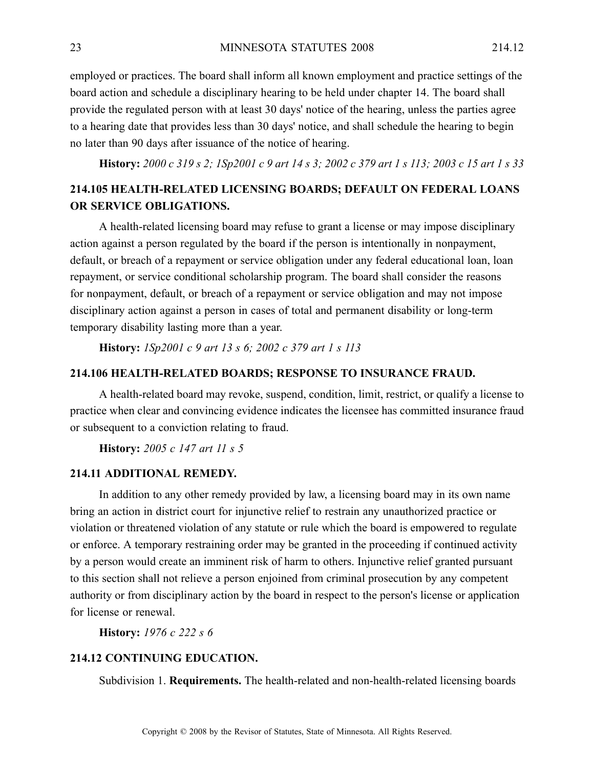employed or practices. The board shall inform all known employment and practice settings of the board action and schedule <sup>a</sup> disciplinary hearing to be held under chapter 14. The board shall provide the regulated person with at least 30 days' notice of the hearing, unless the parties agree to <sup>a</sup> hearing date that provides less than 30 days' notice, and shall schedule the hearing to begin no later than 90 days after issuance of the notice of hearing.

History: 2000 c 319 s 2; 1Sp2001 c 9 art 14 s 3; 2002 c 379 art 1 s 113; 2003 c 15 art 1 s 33

## **214.105 HEALTH-RELATED LICENSING BOARDS; DEFAULT ON FEDERAL LOANS OR SERVICE OBLIGATIONS.**

A health-related licensing board may refuse to gran<sup>t</sup> <sup>a</sup> license or may impose disciplinary action against <sup>a</sup> person regulated by the board if the person is intentionally in nonpayment, default, or breach of <sup>a</sup> repaymen<sup>t</sup> or service obligation under any federal educational loan, loan repayment, or service conditional scholarship program. The board shall consider the reasons for nonpayment, default, or breach of <sup>a</sup> repaymen<sup>t</sup> or service obligation and may not impose disciplinary action against <sup>a</sup> person in cases of total and permanen<sup>t</sup> disability or long-term temporary disability lasting more than <sup>a</sup> year.

**History:** *1Sp2001 <sup>c</sup> 9 art 13 <sup>s</sup> 6; 2002 <sup>c</sup> 379 art 1 <sup>s</sup> 113*

#### **214.106 HEALTH-RELATED BOARDS; RESPONSE TO INSURANCE FRAUD.**

A health-related board may revoke, suspend, condition, limit, restrict, or qualify <sup>a</sup> license to practice when clear and convincing evidence indicates the licensee has committed insurance fraud or subsequent to <sup>a</sup> conviction relating to fraud.

**History:** *2005 <sup>c</sup> 147 art 11 <sup>s</sup> 5*

#### **214.11 ADDITIONAL REMEDY.**

In addition to any other remedy provided by law, <sup>a</sup> licensing board may in its own name bring an action in district court for injunctive relief to restrain any unauthorized practice or violation or threatened violation of any statute or rule which the board is empowered to regulate or enforce. A temporary restraining order may be granted in the proceeding if continued activity by <sup>a</sup> person would create an imminent risk of harm to others. Injunctive relief granted pursuan<sup>t</sup> to this section shall not relieve <sup>a</sup> person enjoined from criminal prosecution by any competent authority or from disciplinary action by the board in respec<sup>t</sup> to the person's license or application for license or renewal.

**History:** *1976 <sup>c</sup> 222 <sup>s</sup> 6*

#### **214.12 CONTINUING EDUCATION.**

Subdivision 1. **Requirements.** The health-related and non-health-related licensing boards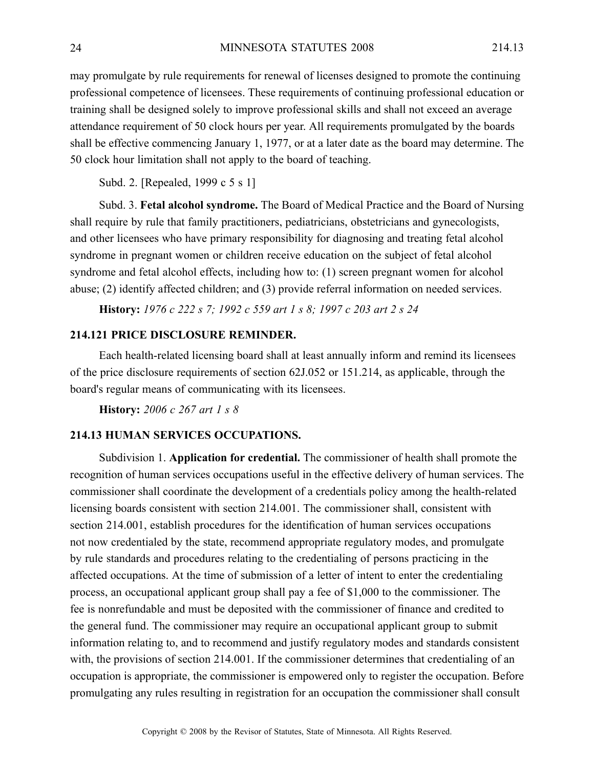may promulgate by rule requirements for renewal of licenses designed to promote the continuing professional competence of licensees. These requirements of continuing professional education or training shall be designed solely to improve professional skills and shall not exceed an average attendance requirement of 50 clock hours per year. All requirements promulgated by the boards shall be effective commencing January 1, 1977, or at <sup>a</sup> later date as the board may determine. The 50 clock hour limitation shall not apply to the board of teaching.

Subd. 2. [Repealed, 1999 <sup>c</sup> 5 <sup>s</sup> 1]

Subd. 3. **Fetal alcohol syndrome.** The Board of Medical Practice and the Board of Nursing shall require by rule that family practitioners, pediatricians, obstetricians and gynecologists, and other licensees who have primary responsibility for diagnosing and treating fetal alcohol syndrome in pregnan<sup>t</sup> women or children receive education on the subject of fetal alcohol syndrome and fetal alcohol effects, including how to: (1) screen pregnan<sup>t</sup> women for alcohol abuse; (2) identify affected children; and (3) provide referral information on needed services.

**History:** *1976 <sup>c</sup> 222 <sup>s</sup> 7; 1992 <sup>c</sup> 559 art 1 <sup>s</sup> 8; 1997 <sup>c</sup> 203 art 2 <sup>s</sup> 24*

## **214.121 PRICE DISCLOSURE REMINDER.**

Each health-related licensing board shall at least annually inform and remind its licensees of the price disclosure requirements of section 62J.052 or 151.214, as applicable, through the board's regular means of communicating with its licensees.

**History:** *2006 <sup>c</sup> 267 art 1 <sup>s</sup> 8*

#### **214.13 HUMAN SERVICES OCCUPATIONS.**

Subdivision 1. **Application for credential.** The commissioner of health shall promote the recognition of human services occupations useful in the effective delivery of human services. The commissioner shall coordinate the development of <sup>a</sup> credentials policy among the health-related licensing boards consistent with section 214.001. The commissioner shall, consistent with section 214.001, establish procedures for the identification of human services occupations not now credentialed by the state, recommend appropriate regulatory modes, and promulgate by rule standards and procedures relating to the credentialing of persons practicing in the affected occupations. At the time of submission of <sup>a</sup> letter of intent to enter the credentialing process, an occupational applicant group shall pay <sup>a</sup> fee of \$1,000 to the commissioner. The fee is nonrefundable and must be deposited with the commissioner of finance and credited to the general fund. The commissioner may require an occupational applicant group to submit information relating to, and to recommend and justify regulatory modes and standards consistent with, the provisions of section 214.001. If the commissioner determines that credentialing of an occupation is appropriate, the commissioner is empowered only to register the occupation. Before promulgating any rules resulting in registration for an occupation the commissioner shall consult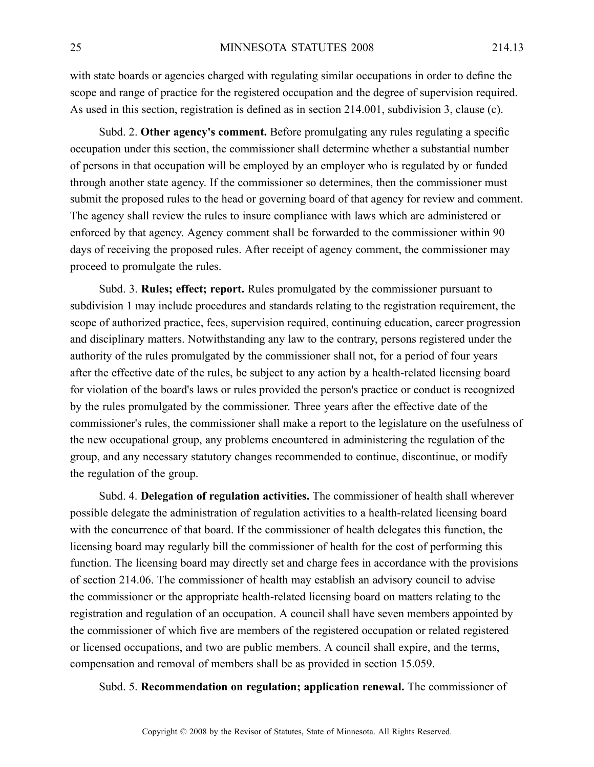with state boards or agencies charged with regulating similar occupations in order to define the scope and range of practice for the registered occupation and the degree of supervision required. As used in this section, registration is defined as in section 214.001, subdivision 3, clause (c).

Subd. 2. **Other agency's comment.** Before promulgating any rules regulating <sup>a</sup> specific occupation under this section, the commissioner shall determine whether <sup>a</sup> substantial number of persons in that occupation will be employed by an employer who is regulated by or funded through another state agency. If the commissioner so determines, then the commissioner must submit the proposed rules to the head or governing board of that agency for review and comment. The agency shall review the rules to insure compliance with laws which are administered or enforced by that agency. Agency comment shall be forwarded to the commissioner within 90 days of receiving the proposed rules. After receipt of agency comment, the commissioner may proceed to promulgate the rules.

Subd. 3. **Rules; effect; report.** Rules promulgated by the commissioner pursuan<sup>t</sup> to subdivision 1 may include procedures and standards relating to the registration requirement, the scope of authorized practice, fees, supervision required, continuing education, career progression and disciplinary matters. Notwithstanding any law to the contrary, persons registered under the authority of the rules promulgated by the commissioner shall not, for <sup>a</sup> period of four years after the effective date of the rules, be subject to any action by <sup>a</sup> health-related licensing board for violation of the board's laws or rules provided the person's practice or conduct is recognized by the rules promulgated by the commissioner. Three years after the effective date of the commissioner's rules, the commissioner shall make <sup>a</sup> repor<sup>t</sup> to the legislature on the usefulness of the new occupational group, any problems encountered in administering the regulation of the group, and any necessary statutory changes recommended to continue, discontinue, or modify the regulation of the group.

Subd. 4. **Delegation of regulation activities.** The commissioner of health shall wherever possible delegate the administration of regulation activities to <sup>a</sup> health-related licensing board with the concurrence of that board. If the commissioner of health delegates this function, the licensing board may regularly bill the commissioner of health for the cost of performing this function. The licensing board may directly set and charge fees in accordance with the provisions of section 214.06. The commissioner of health may establish an advisory council to advise the commissioner or the appropriate health-related licensing board on matters relating to the registration and regulation of an occupation. A council shall have seven members appointed by the commissioner of which five are members of the registered occupation or related registered or licensed occupations, and two are public members. A council shall expire, and the terms, compensation and removal of members shall be as provided in section 15.059.

Subd. 5. **Recommendation on regulation; application renewal.** The commissioner of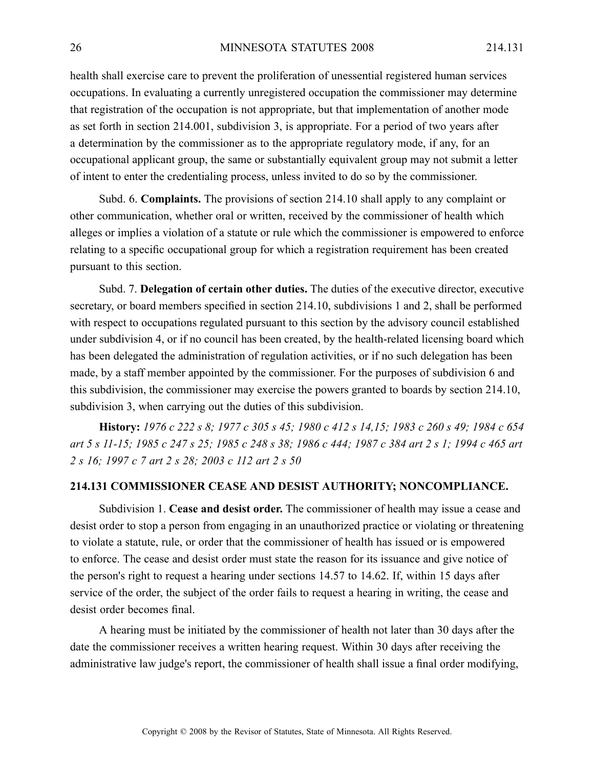health shall exercise care to preven<sup>t</sup> the proliferation of unessential registered human services occupations. In evaluating <sup>a</sup> currently unregistered occupation the commissioner may determine that registration of the occupation is not appropriate, but that implementation of another mode as set forth in section 214.001, subdivision 3, is appropriate. For <sup>a</sup> period of two years after <sup>a</sup> determination by the commissioner as to the appropriate regulatory mode, if any, for an occupational applicant group, the same or substantially equivalent group may not submit <sup>a</sup> letter of intent to enter the credentialing process, unless invited to do so by the commissioner.

Subd. 6. **Complaints.** The provisions of section 214.10 shall apply to any complaint or other communication, whether oral or written, received by the commissioner of health which alleges or implies <sup>a</sup> violation of <sup>a</sup> statute or rule which the commissioner is empowered to enforce relating to <sup>a</sup> specific occupational group for which <sup>a</sup> registration requirement has been created pursuan<sup>t</sup> to this section.

Subd. 7. **Delegation of certain other duties.** The duties of the executive director, executive secretary, or board members specified in section 214.10, subdivisions 1 and 2, shall be performed with respec<sup>t</sup> to occupations regulated pursuan<sup>t</sup> to this section by the advisory council established under subdivision 4, or if no council has been created, by the health-related licensing board which has been delegated the administration of regulation activities, or if no such delegation has been made, by <sup>a</sup> staff member appointed by the commissioner. For the purposes of subdivision 6 and this subdivision, the commissioner may exercise the powers granted to boards by section 214.10, subdivision 3, when carrying out the duties of this subdivision.

History: 1976 c 222 s 8; 1977 c 305 s 45; 1980 c 412 s 14,15; 1983 c 260 s 49; 1984 c 654 art 5 s 11-15; 1985 c 247 s 25; 1985 c 248 s 38; 1986 c 444; 1987 c 384 art 2 s 1; 1994 c 465 art *2 <sup>s</sup> 16; 1997 <sup>c</sup> 7 art 2 <sup>s</sup> 28; 2003 <sup>c</sup> 112 art 2 <sup>s</sup> 50*

## **214.131 COMMISSIONER CEASE AND DESIST AUTHORITY; NONCOMPLIANCE.**

Subdivision 1. **Cease and desist order.** The commissioner of health may issue <sup>a</sup> cease and desist order to stop <sup>a</sup> person from engaging in an unauthorized practice or violating or threatening to violate <sup>a</sup> statute, rule, or order that the commissioner of health has issued or is empowered to enforce. The cease and desist order must state the reason for its issuance and give notice of the person's right to reques<sup>t</sup> <sup>a</sup> hearing under sections 14.57 to 14.62. If, within 15 days after service of the order, the subject of the order fails to reques<sup>t</sup> <sup>a</sup> hearing in writing, the cease and desist order becomes final.

A hearing must be initiated by the commissioner of health not later than 30 days after the date the commissioner receives <sup>a</sup> written hearing request. Within 30 days after receiving the administrative law judge's report, the commissioner of health shall issue <sup>a</sup> final order modifying,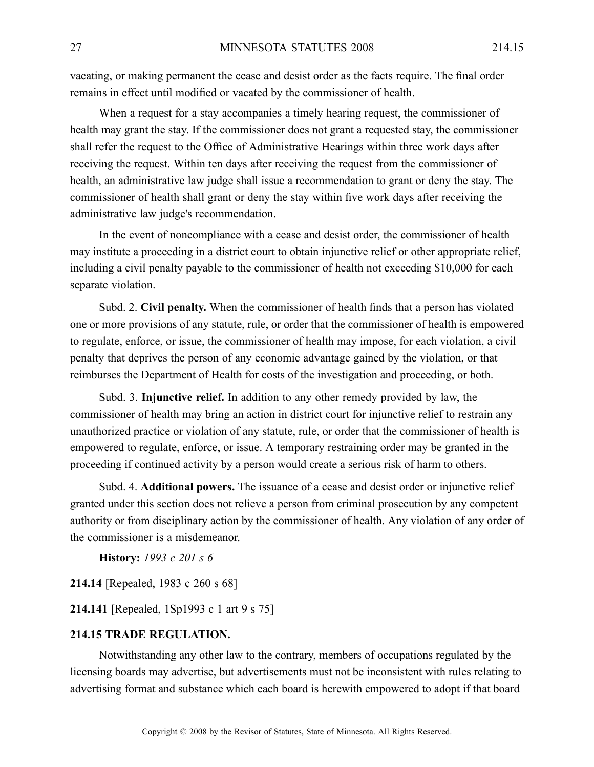vacating, or making permanen<sup>t</sup> the cease and desist order as the facts require. The final order remains in effect until modified or vacated by the commissioner of health.

When <sup>a</sup> reques<sup>t</sup> for <sup>a</sup> stay accompanies <sup>a</sup> timely hearing request, the commissioner of health may gran<sup>t</sup> the stay. If the commissioner does not gran<sup>t</sup> <sup>a</sup> requested stay, the commissioner shall refer the reques<sup>t</sup> to the Office of Administrative Hearings within three work days after receiving the request. Within ten days after receiving the reques<sup>t</sup> from the commissioner of health, an administrative law judge shall issue <sup>a</sup> recommendation to gran<sup>t</sup> or deny the stay. The commissioner of health shall gran<sup>t</sup> or deny the stay within five work days after receiving the administrative law judge's recommendation.

In the event of noncompliance with <sup>a</sup> cease and desist order, the commissioner of health may institute <sup>a</sup> proceeding in <sup>a</sup> district court to obtain injunctive relief or other appropriate relief, including <sup>a</sup> civil penalty payable to the commissioner of health not exceeding \$10,000 for each separate violation.

Subd. 2. **Civil penalty.** When the commissioner of health finds that <sup>a</sup> person has violated one or more provisions of any statute, rule, or order that the commissioner of health is empowered to regulate, enforce, or issue, the commissioner of health may impose, for each violation, <sup>a</sup> civil penalty that deprives the person of any economic advantage gained by the violation, or that reimburses the Department of Health for costs of the investigation and proceeding, or both.

Subd. 3. **Injunctive relief.** In addition to any other remedy provided by law, the commissioner of health may bring an action in district court for injunctive relief to restrain any unauthorized practice or violation of any statute, rule, or order that the commissioner of health is empowered to regulate, enforce, or issue. A temporary restraining order may be granted in the proceeding if continued activity by <sup>a</sup> person would create <sup>a</sup> serious risk of harm to others.

Subd. 4. **Additional powers.** The issuance of <sup>a</sup> cease and desist order or injunctive relief granted under this section does not relieve <sup>a</sup> person from criminal prosecution by any competent authority or from disciplinary action by the commissioner of health. Any violation of any order of the commissioner is <sup>a</sup> misdemeanor.

**History:** *1993 <sup>c</sup> 201 <sup>s</sup> 6*

**214.14** [Repealed, 1983 <sup>c</sup> 260 <sup>s</sup> 68]

**214.141** [Repealed, 1Sp1993 <sup>c</sup> 1 art 9 <sup>s</sup> 75]

## **214.15 TRADE REGULATION.**

Notwithstanding any other law to the contrary, members of occupations regulated by the licensing boards may advertise, but advertisements must not be inconsistent with rules relating to advertising format and substance which each board is herewith empowered to adopt if that board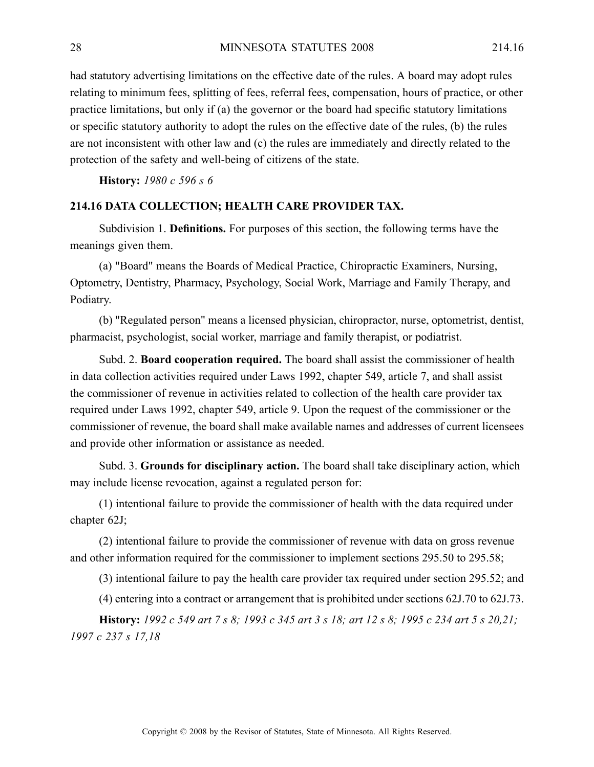had statutory advertising limitations on the effective date of the rules. A board may adopt rules relating to minimum fees, splitting of fees, referral fees, compensation, hours of practice, or other practice limitations, but only if (a) the governor or the board had specific statutory limitations or specific statutory authority to adopt the rules on the effective date of the rules, (b) the rules are not inconsistent with other law and (c) the rules are immediately and directly related to the protection of the safety and well-being of citizens of the state.

**History:** *1980 <sup>c</sup> 596 <sup>s</sup> 6*

#### **214.16 DATA COLLECTION; HEALTH CARE PROVIDER TAX.**

Subdivision 1. **Definitions.** For purposes of this section, the following terms have the meanings given them.

(a) "Board" means the Boards of Medical Practice, Chiropractic Examiners, Nursing, Optometry, Dentistry, Pharmacy, Psychology, Social Work, Marriage and Family Therapy, and Podiatry.

(b) "Regulated person" means <sup>a</sup> licensed physician, chiropractor, nurse, optometrist, dentist, pharmacist, psychologist, social worker, marriage and family therapist, or podiatrist.

Subd. 2. **Board cooperation required.** The board shall assist the commissioner of health in data collection activities required under Laws 1992, chapter 549, article 7, and shall assist the commissioner of revenue in activities related to collection of the health care provider tax required under Laws 1992, chapter 549, article 9. Upon the reques<sup>t</sup> of the commissioner or the commissioner of revenue, the board shall make available names and addresses of current licensees and provide other information or assistance as needed.

Subd. 3. **Grounds for disciplinary action.** The board shall take disciplinary action, which may include license revocation, against <sup>a</sup> regulated person for:

(1) intentional failure to provide the commissioner of health with the data required under chapter 62J;

(2) intentional failure to provide the commissioner of revenue with data on gross revenue and other information required for the commissioner to implement sections 295.50 to 295.58;

(3) intentional failure to pay the health care provider tax required under section 295.52; and

(4) entering into <sup>a</sup> contract or arrangemen<sup>t</sup> that is prohibited under sections 62J.70 to 62J.73.

**History:** 1992 c 549 art 7 s 8; 1993 c 345 art 3 s 18; art 12 s 8; 1995 c 234 art 5 s 20.21; *1997 <sup>c</sup> 237 <sup>s</sup> 17,18*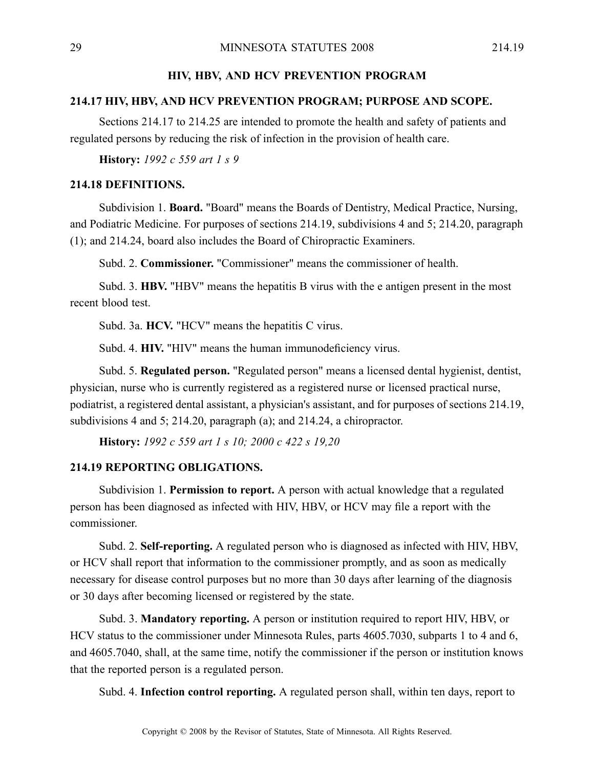## **HIV, HBV, AND HCV PREVENTION PROGRAM**

## **214.17 HIV, HBV, AND HCV PREVENTION PROGRAM; PURPOSE AND SCOPE.**

Sections 214.17 to 214.25 are intended to promote the health and safety of patients and regulated persons by reducing the risk of infection in the provision of health care.

**History:** *1992 <sup>c</sup> 559 art 1 <sup>s</sup> 9*

#### **214.18 DEFINITIONS.**

Subdivision 1. **Board.** "Board" means the Boards of Dentistry, Medical Practice, Nursing, and Podiatric Medicine. For purposes of sections 214.19, subdivisions 4 and 5; 214.20, paragraph (1); and 214.24, board also includes the Board of Chiropractic Examiners.

Subd. 2. **Commissioner.** "Commissioner" means the commissioner of health.

Subd. 3. **HBV.** "HBV" means the hepatitis B virus with the <sup>e</sup> antigen presen<sup>t</sup> in the most recent blood test.

Subd. 3a. **HCV.** "HCV" means the hepatitis C virus.

Subd. 4. **HIV.** "HIV" means the human immunodeficiency virus.

Subd. 5. **Regulated person.** "Regulated person" means <sup>a</sup> licensed dental hygienist, dentist, physician, nurse who is currently registered as a registered nurse or licensed practical nurse, podiatrist, <sup>a</sup> registered dental assistant, <sup>a</sup> physician's assistant, and for purposes of sections 214.19, subdivisions 4 and 5; 214.20, paragraph (a); and 214.24, <sup>a</sup> chiropractor.

**History:** *1992 <sup>c</sup> 559 art 1 <sup>s</sup> 10; 2000 <sup>c</sup> 422 <sup>s</sup> 19,20*

#### **214.19 REPORTING OBLIGATIONS.**

Subdivision 1. **Permission to report.** A person with actual knowledge that <sup>a</sup> regulated person has been diagnosed as infected with HIV, HBV, or HCV may file <sup>a</sup> repor<sup>t</sup> with the commissioner.

Subd. 2. **Self-reporting.** A regulated person who is diagnosed as infected with HIV, HBV, or HCV shall repor<sup>t</sup> that information to the commissioner promptly, and as soon as medically necessary for disease control purposes but no more than 30 days after learning of the diagnosis or 30 days after becoming licensed or registered by the state.

Subd. 3. **Mandatory reporting.** A person or institution required to repor<sup>t</sup> HIV, HBV, or HCV status to the commissioner under Minnesota Rules, parts 4605.7030, subparts 1 to 4 and 6, and 4605.7040, shall, at the same time, notify the commissioner if the person or institution knows that the reported person is <sup>a</sup> regulated person.

Subd. 4. **Infection control reporting.** Aregulated person shall, within ten days, repor<sup>t</sup> to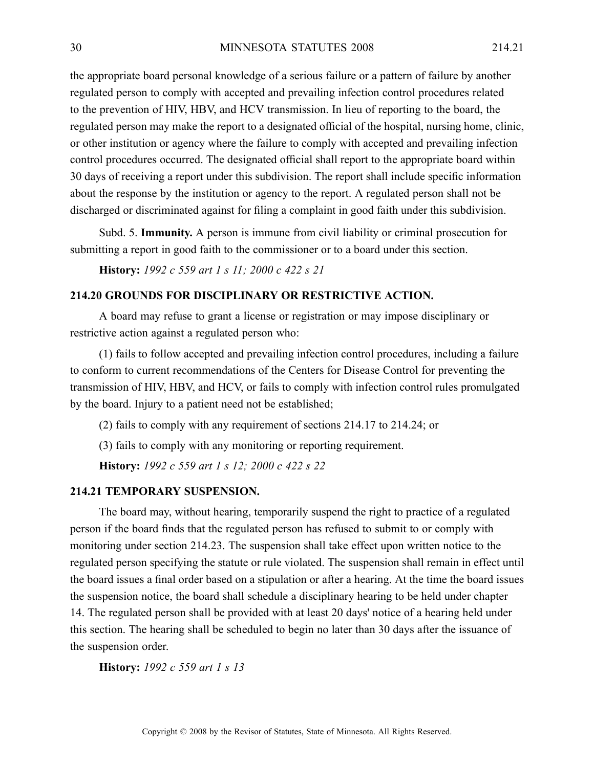the appropriate board personal knowledge of <sup>a</sup> serious failure or <sup>a</sup> pattern of failure by another regulated person to comply with accepted and prevailing infection control procedures related to the prevention of HIV, HBV, and HCV transmission. In lieu of reporting to the board, the regulated person may make the repor<sup>t</sup> to <sup>a</sup> designated official of the hospital, nursing home, clinic, or other institution or agency where the failure to comply with accepted and prevailing infection control procedures occurred. The designated official shall repor<sup>t</sup> to the appropriate board within 30 days of receiving <sup>a</sup> repor<sup>t</sup> under this subdivision. The repor<sup>t</sup> shall include specific information about the response by the institution or agency to the report. A regulated person shall not be discharged or discriminated against for filing <sup>a</sup> complaint in good faith under this subdivision.

Subd. 5. **Immunity.** A person is immune from civil liability or criminal prosecution for submitting <sup>a</sup> repor<sup>t</sup> in good faith to the commissioner or to <sup>a</sup> board under this section.

**History:** *1992 <sup>c</sup> 559 art 1 <sup>s</sup> 11; 2000 <sup>c</sup> 422 <sup>s</sup> 21*

## **214.20 GROUNDS FOR DISCIPLINARY OR RESTRICTIVE ACTION.**

A board may refuse to gran<sup>t</sup> <sup>a</sup> license or registration or may impose disciplinary or restrictive action against <sup>a</sup> regulated person who:

(1) fails to follow accepted and prevailing infection control procedures, including <sup>a</sup> failure to conform to current recommendations of the Centers for Disease Control for preventing the transmission of HIV, HBV, and HCV, or fails to comply with infection control rules promulgated by the board. Injury to <sup>a</sup> patient need not be established;

(2) fails to comply with any requirement of sections 214.17 to 214.24; or

(3) fails to comply with any monitoring or reporting requirement.

**History:** *1992 <sup>c</sup> 559 art 1 <sup>s</sup> 12; 2000 <sup>c</sup> 422 <sup>s</sup> 22*

#### **214.21 TEMPORARY SUSPENSION.**

The board may, without hearing, temporarily suspend the right to practice of <sup>a</sup> regulated person if the board finds that the regulated person has refused to submit to or comply with monitoring under section 214.23. The suspension shall take effect upon written notice to the regulated person specifying the statute or rule violated. The suspension shall remain in effect until the board issues <sup>a</sup> final order based on <sup>a</sup> stipulation or after <sup>a</sup> hearing. At the time the board issues the suspension notice, the board shall schedule <sup>a</sup> disciplinary hearing to be held under chapter 14. The regulated person shall be provided with at least 20 days' notice of <sup>a</sup> hearing held under this section. The hearing shall be scheduled to begin no later than 30 days after the issuance of the suspension order.

**History:** *1992 <sup>c</sup> 559 art 1 <sup>s</sup> 13*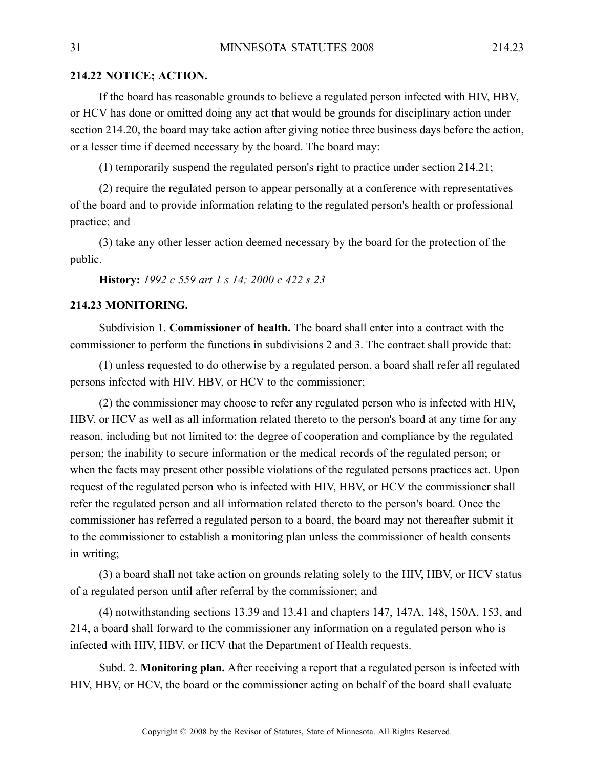#### **214.22 NOTICE; ACTION.**

If the board has reasonable grounds to believe <sup>a</sup> regulated person infected with HIV, HBV, or HCV has done or omitted doing any act that would be grounds for disciplinary action under section 214.20, the board may take action after giving notice three business days before the action, or <sup>a</sup> lesser time if deemed necessary by the board. The board may:

(1) temporarily suspend the regulated person's right to practice under section 214.21;

(2) require the regulated person to appear personally at <sup>a</sup> conference with representatives of the board and to provide information relating to the regulated person's health or professional practice; and

(3) take any other lesser action deemed necessary by the board for the protection of the public.

#### **History:** *1992 <sup>c</sup> 559 art 1 <sup>s</sup> 14; 2000 <sup>c</sup> 422 <sup>s</sup> 23*

## **214.23 MONITORING.**

Subdivision 1. **Commissioner of health.** The board shall enter into <sup>a</sup> contract with the commissioner to perform the functions in subdivisions 2 and 3. The contract shall provide that:

(1) unless requested to do otherwise by <sup>a</sup> regulated person, <sup>a</sup> board shall refer all regulated persons infected with HIV, HBV, or HCV to the commissioner;

(2) the commissioner may choose to refer any regulated person who is infected with HIV, HBV, or HCV as well as all information related thereto to the person's board at any time for any reason, including but not limited to: the degree of cooperation and compliance by the regulated person; the inability to secure information or the medical records of the regulated person; or when the facts may presen<sup>t</sup> other possible violations of the regulated persons practices act. Upon reques<sup>t</sup> of the regulated person who is infected with HIV, HBV, or HCV the commissioner shall refer the regulated person and all information related thereto to the person's board. Once the commissioner has referred <sup>a</sup> regulated person to <sup>a</sup> board, the board may not thereafter submit it to the commissioner to establish <sup>a</sup> monitoring plan unless the commissioner of health consents in writing;

(3) <sup>a</sup> board shall not take action on grounds relating solely to the HIV, HBV, or HCV status of <sup>a</sup> regulated person until after referral by the commissioner; and

(4) notwithstanding sections 13.39 and 13.41 and chapters 147, 147A, 148, 150A, 153, and 214, <sup>a</sup> board shall forward to the commissioner any information on <sup>a</sup> regulated person who is infected with HIV, HBV, or HCV that the Department of Health requests.

Subd. 2. **Monitoring plan.** After receiving <sup>a</sup> repor<sup>t</sup> that <sup>a</sup> regulated person is infected with HIV, HBV, or HCV, the board or the commissioner acting on behalf of the board shall evaluate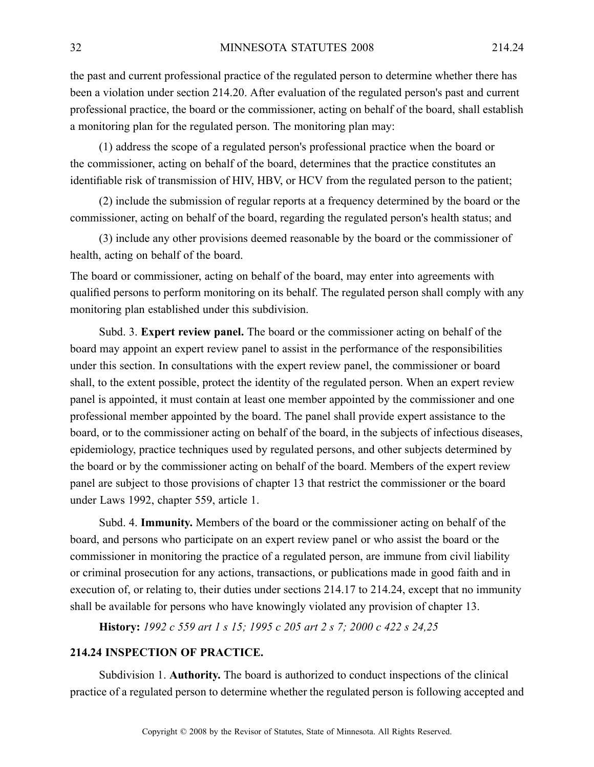the pas<sup>t</sup> and current professional practice of the regulated person to determine whether there has been <sup>a</sup> violation under section 214.20. After evaluation of the regulated person's pas<sup>t</sup> and current professional practice, the board or the commissioner, acting on behalf of the board, shall establish <sup>a</sup> monitoring plan for the regulated person. The monitoring plan may:

(1) address the scope of <sup>a</sup> regulated person's professional practice when the board or the commissioner, acting on behalf of the board, determines that the practice constitutes an identifiable risk of transmission of HIV, HBV, or HCV from the regulated person to the patient;

(2) include the submission of regular reports at <sup>a</sup> frequency determined by the board or the commissioner, acting on behalf of the board, regarding the regulated person's health status; and

(3) include any other provisions deemed reasonable by the board or the commissioner of health, acting on behalf of the board.

The board or commissioner, acting on behalf of the board, may enter into agreements with qualified persons to perform monitoring on its behalf. The regulated person shall comply with any monitoring plan established under this subdivision.

Subd. 3. **Expert review panel.** The board or the commissioner acting on behalf of the board may appoint an exper<sup>t</sup> review panel to assist in the performance of the responsibilities under this section. In consultations with the exper<sup>t</sup> review panel, the commissioner or board shall, to the extent possible, protect the identity of the regulated person. When an exper<sup>t</sup> review panel is appointed, it must contain at least one member appointed by the commissioner and one professional member appointed by the board. The panel shall provide exper<sup>t</sup> assistance to the board, or to the commissioner acting on behalf of the board, in the subjects of infectious diseases, epidemiology, practice techniques used by regulated persons, and other subjects determined by the board or by the commissioner acting on behalf of the board. Members of the exper<sup>t</sup> review panel are subject to those provisions of chapter 13 that restrict the commissioner or the board under Laws 1992, chapter 559, article 1.

Subd. 4. **Immunity.** Members of the board or the commissioner acting on behalf of the board, and persons who participate on an exper<sup>t</sup> review panel or who assist the board or the commissioner in monitoring the practice of <sup>a</sup> regulated person, are immune from civil liability or criminal prosecution for any actions, transactions, or publications made in good faith and in execution of, or relating to, their duties under sections 214.17 to 214.24, excep<sup>t</sup> that no immunity shall be available for persons who have knowingly violated any provision of chapter 13.

**History:** *1992 <sup>c</sup> 559 art 1 <sup>s</sup> 15; 1995 <sup>c</sup> 205 art 2 <sup>s</sup> 7; 2000 <sup>c</sup> 422 <sup>s</sup> 24,25*

#### **214.24 INSPECTION OF PRACTICE.**

Subdivision 1. **Authority.** The board is authorized to conduct inspections of the clinical practice of <sup>a</sup> regulated person to determine whether the regulated person is following accepted and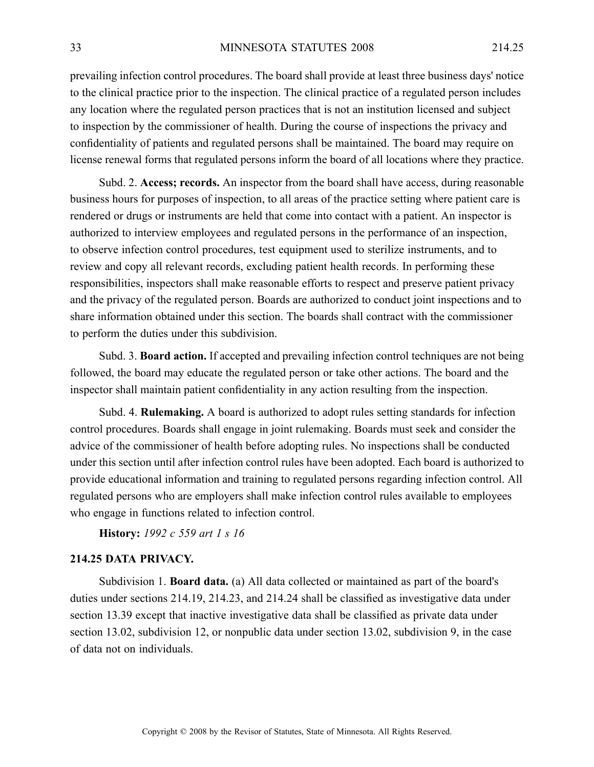prevailing infection control procedures. The board shall provide at least three business days' notice to the clinical practice prior to the inspection. The clinical practice of <sup>a</sup> regulated person includes any location where the regulated person practices that is not an institution licensed and subject to inspection by the commissioner of health. During the course of inspections the privacy and confidentiality of patients and regulated persons shall be maintained. The board may require on license renewal forms that regulated persons inform the board of all locations where they practice.

Subd. 2. **Access; records.** An inspector from the board shall have access, during reasonable business hours for purposes of inspection, to all areas of the practice setting where patient care is rendered or drugs or instruments are held that come into contact with <sup>a</sup> patient. An inspector is authorized to interview employees and regulated persons in the performance of an inspection, to observe infection control procedures, test equipment used to sterilize instruments, and to review and copy all relevant records, excluding patient health records. In performing these responsibilities, inspectors shall make reasonable efforts to respec<sup>t</sup> and preserve patient privacy and the privacy of the regulated person. Boards are authorized to conduct joint inspections and to share information obtained under this section. The boards shall contract with the commissioner to perform the duties under this subdivision.

Subd. 3. **Board action.** If accepted and prevailing infection control techniques are not being followed, the board may educate the regulated person or take other actions. The board and the inspector shall maintain patient confidentiality in any action resulting from the inspection.

Subd. 4. **Rulemaking.** A board is authorized to adopt rules setting standards for infection control procedures. Boards shall engage in joint rulemaking. Boards must seek and consider the advice of the commissioner of health before adopting rules. No inspections shall be conducted under this section until after infection control rules have been adopted. Each board is authorized to provide educational information and training to regulated persons regarding infection control. All regulated persons who are employers shall make infection control rules available to employees who engage in functions related to infection control.

**History:** *1992 <sup>c</sup> 559 art 1 <sup>s</sup> 16*

## **214.25 DATA PRIVACY.**

Subdivision 1. **Board data.** (a) All data collected or maintained as par<sup>t</sup> of the board's duties under sections 214.19, 214.23, and 214.24 shall be classified as investigative data under section 13.39 excep<sup>t</sup> that inactive investigative data shall be classified as private data under section 13.02, subdivision 12, or nonpublic data under section 13.02, subdivision 9, in the case of data not on individuals.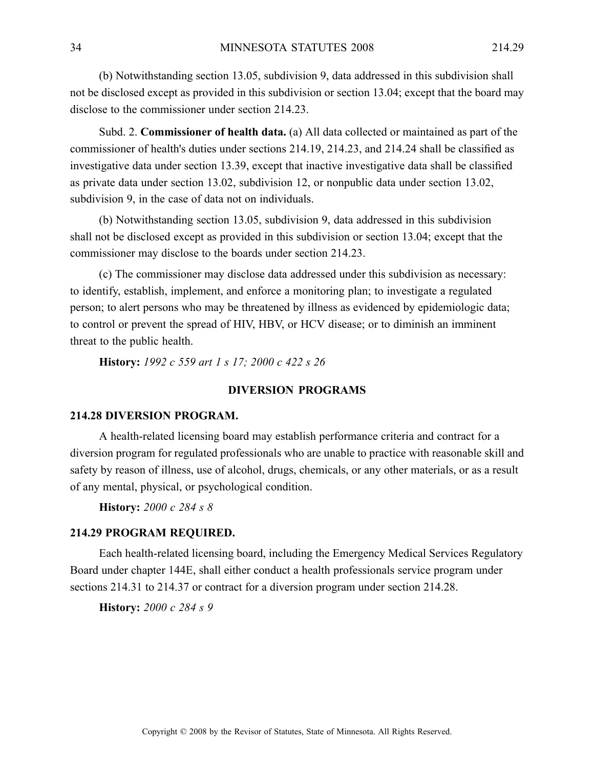(b) Notwithstanding section 13.05, subdivision 9, data addressed in this subdivision shall not be disclosed excep<sup>t</sup> as provided in this subdivision or section 13.04; excep<sup>t</sup> that the board may disclose to the commissioner under section 214.23.

Subd. 2. **Commissioner of health data.** (a) All data collected or maintained as par<sup>t</sup> of the commissioner of health's duties under sections 214.19, 214.23, and 214.24 shall be classified as investigative data under section 13.39, excep<sup>t</sup> that inactive investigative data shall be classified as private data under section 13.02, subdivision 12, or nonpublic data under section 13.02, subdivision 9, in the case of data not on individuals.

(b) Notwithstanding section 13.05, subdivision 9, data addressed in this subdivision shall not be disclosed excep<sup>t</sup> as provided in this subdivision or section 13.04; excep<sup>t</sup> that the commissioner may disclose to the boards under section 214.23.

(c) The commissioner may disclose data addressed under this subdivision as necessary: to identify, establish, implement, and enforce <sup>a</sup> monitoring plan; to investigate <sup>a</sup> regulated person; to alert persons who may be threatened by illness as evidenced by epidemiologic data; to control or preven<sup>t</sup> the spread of HIV, HBV, or HCV disease; or to diminish an imminent threat to the public health.

**History:** *1992 <sup>c</sup> 559 art 1 <sup>s</sup> 17; 2000 <sup>c</sup> 422 <sup>s</sup> 26*

## **DIVERSION PROGRAMS**

## **214.28 DIVERSION PROGRAM.**

A health-related licensing board may establish performance criteria and contract for <sup>a</sup> diversion program for regulated professionals who are unable to practice with reasonable skill and safety by reason of illness, use of alcohol, drugs, chemicals, or any other materials, or as <sup>a</sup> result of any mental, physical, or psychological condition.

**History:** *2000 <sup>c</sup> 284 <sup>s</sup> 8*

#### **214.29 PROGRAM REQUIRED.**

Each health-related licensing board, including the Emergency Medical Services Regulatory Board under chapter 144E, shall either conduct <sup>a</sup> health professionals service program under sections 214.31 to 214.37 or contract for <sup>a</sup> diversion program under section 214.28.

**History:** *2000 <sup>c</sup> 284 <sup>s</sup> 9*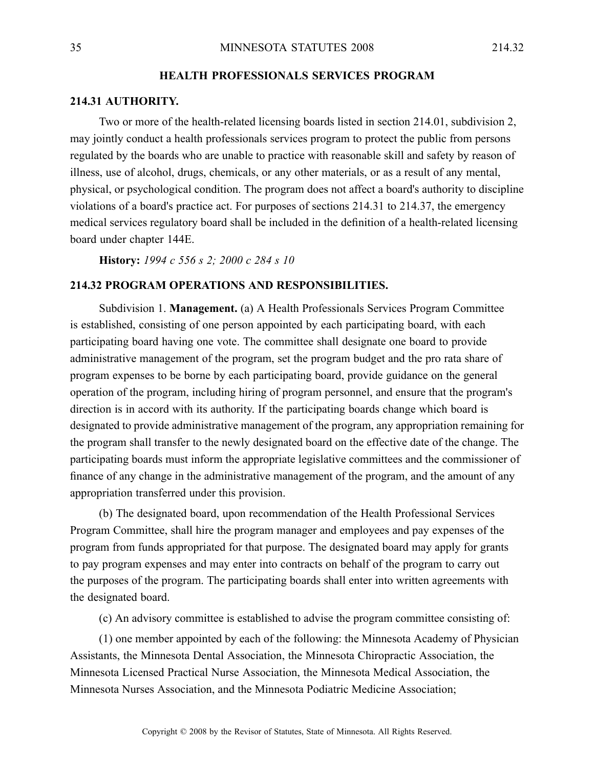## **HEALTH PROFESSIONALS SERVICES PROGRAM**

#### **214.31 AUTHORITY.**

Two or more of the health-related licensing boards listed in section 214.01, subdivision 2, may jointly conduct <sup>a</sup> health professionals services program to protect the public from persons regulated by the boards who are unable to practice with reasonable skill and safety by reason of illness, use of alcohol, drugs, chemicals, or any other materials, or as <sup>a</sup> result of any mental, physical, or psychological condition. The program does not affect <sup>a</sup> board's authority to discipline violations of <sup>a</sup> board's practice act. For purposes of sections 214.31 to 214.37, the emergency medical services regulatory board shall be included in the definition of <sup>a</sup> health-related licensing board under chapter 144E.

**History:** *1994 <sup>c</sup> 556 <sup>s</sup> 2; 2000 <sup>c</sup> 284 <sup>s</sup> 10*

#### **214.32 PROGRAM OPERATIONS AND RESPONSIBILITIES.**

Subdivision 1. **Management.** (a) A Health Professionals Services Program Committee is established, consisting of one person appointed by each participating board, with each participating board having one vote. The committee shall designate one board to provide administrative managemen<sup>t</sup> of the program, set the program budget and the pro rata share of program expenses to be borne by each participating board, provide guidance on the general operation of the program, including hiring of program personnel, and ensure that the program's direction is in accord with its authority. If the participating boards change which board is designated to provide administrative managemen<sup>t</sup> of the program, any appropriation remaining for the program shall transfer to the newly designated board on the effective date of the change. The participating boards must inform the appropriate legislative committees and the commissioner of finance of any change in the administrative managemen<sup>t</sup> of the program, and the amount of any appropriation transferred under this provision.

(b) The designated board, upon recommendation of the Health Professional Services Program Committee, shall hire the program manager and employees and pay expenses of the program from funds appropriated for that purpose. The designated board may apply for grants to pay program expenses and may enter into contracts on behalf of the program to carry out the purposes of the program. The participating boards shall enter into written agreements with the designated board.

(c) An advisory committee is established to advise the program committee consisting of:

(1) one member appointed by each of the following: the Minnesota Academy of Physician Assistants, the Minnesota Dental Association, the Minnesota Chiropractic Association, the Minnesota Licensed Practical Nurse Association, the Minnesota Medical Association, the Minnesota Nurses Association, and the Minnesota Podiatric Medicine Association;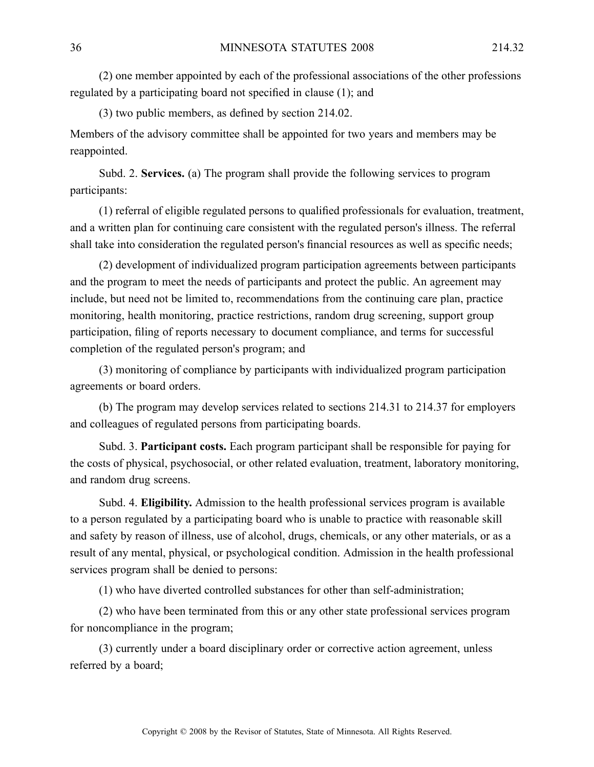(2) one member appointed by each of the professional associations of the other professions regulated by <sup>a</sup> participating board not specified in clause (1); and

(3) two public members, as defined by section 214.02.

Members of the advisory committee shall be appointed for two years and members may be reappointed.

Subd. 2. **Services.** (a) The program shall provide the following services to program participants:

(1) referral of eligible regulated persons to qualified professionals for evaluation, treatment, and <sup>a</sup> written plan for continuing care consistent with the regulated person's illness. The referral shall take into consideration the regulated person's financial resources as well as specific needs;

(2) development of individualized program participation agreements between participants and the program to meet the needs of participants and protect the public. An agreemen<sup>t</sup> may include, but need not be limited to, recommendations from the continuing care plan, practice monitoring, health monitoring, practice restrictions, random drug screening, suppor<sup>t</sup> group participation, filing of reports necessary to document compliance, and terms for successful completion of the regulated person's program; and

(3) monitoring of compliance by participants with individualized program participation agreements or board orders.

(b) The program may develop services related to sections 214.31 to 214.37 for employers and colleagues of regulated persons from participating boards.

Subd. 3. **Participant costs.** Each program participant shall be responsible for paying for the costs of physical, psychosocial, or other related evaluation, treatment, laboratory monitoring, and random drug screens.

Subd. 4. **Eligibility.** Admission to the health professional services program is available to <sup>a</sup> person regulated by <sup>a</sup> participating board who is unable to practice with reasonable skill and safety by reason of illness, use of alcohol, drugs, chemicals, or any other materials, or as <sup>a</sup> result of any mental, physical, or psychological condition. Admission in the health professional services program shall be denied to persons:

(1) who have diverted controlled substances for other than self-administration;

(2) who have been terminated from this or any other state professional services program for noncompliance in the program;

(3) currently under <sup>a</sup> board disciplinary order or corrective action agreement, unless referred by <sup>a</sup> board;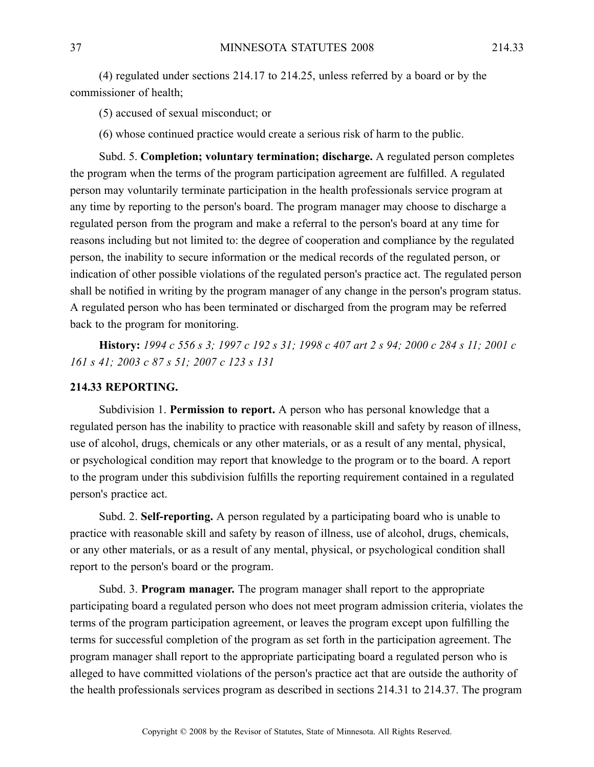(4) regulated under sections 214.17 to 214.25, unless referred by <sup>a</sup> board or by the commissioner of health;

(5) accused of sexual misconduct; or

(6) whose continued practice would create <sup>a</sup> serious risk of harm to the public.

Subd. 5. **Completion; voluntary termination; discharge.** A regulated person completes the program when the terms of the program participation agreement are fulfilled. A regulated person may voluntarily terminate participation in the health professionals service program at any time by reporting to the person's board. The program manager may choose to discharge <sup>a</sup> regulated person from the program and make <sup>a</sup> referral to the person's board at any time for reasons including but not limited to: the degree of cooperation and compliance by the regulated person, the inability to secure information or the medical records of the regulated person, or indication of other possible violations of the regulated person's practice act. The regulated person shall be notified in writing by the program manager of any change in the person's program status. A regulated person who has been terminated or discharged from the program may be referred back to the program for monitoring.

History: 1994 c 556 s 3; 1997 c 192 s 31; 1998 c 407 art 2 s 94; 2000 c 284 s 11; 2001 c *161 <sup>s</sup> 41; 2003 <sup>c</sup> 87 <sup>s</sup> 51; 2007 <sup>c</sup> 123 <sup>s</sup> 131*

#### **214.33 REPORTING.**

Subdivision 1. **Permission to report.** A person who has personal knowledge that <sup>a</sup> regulated person has the inability to practice with reasonable skill and safety by reason of illness, use of alcohol, drugs, chemicals or any other materials, or as <sup>a</sup> result of any mental, physical, or psychological condition may repor<sup>t</sup> that knowledge to the program or to the board. A repor<sup>t</sup> to the program under this subdivision fulfills the reporting requirement contained in <sup>a</sup> regulated person's practice act.

Subd. 2. **Self-reporting.** A person regulated by a participating board who is unable to practice with reasonable skill and safety by reason of illness, use of alcohol, drugs, chemicals, or any other materials, or as <sup>a</sup> result of any mental, physical, or psychological condition shall repor<sup>t</sup> to the person's board or the program.

Subd. 3. **Program manager.** The program manager shall repor<sup>t</sup> to the appropriate participating board <sup>a</sup> regulated person who does not meet program admission criteria, violates the terms of the program participation agreement, or leaves the program excep<sup>t</sup> upon fulfilling the terms for successful completion of the program as set forth in the participation agreement. The program manager shall repor<sup>t</sup> to the appropriate participating board <sup>a</sup> regulated person who is alleged to have committed violations of the person's practice act that are outside the authority of the health professionals services program as described in sections 214.31 to 214.37. The program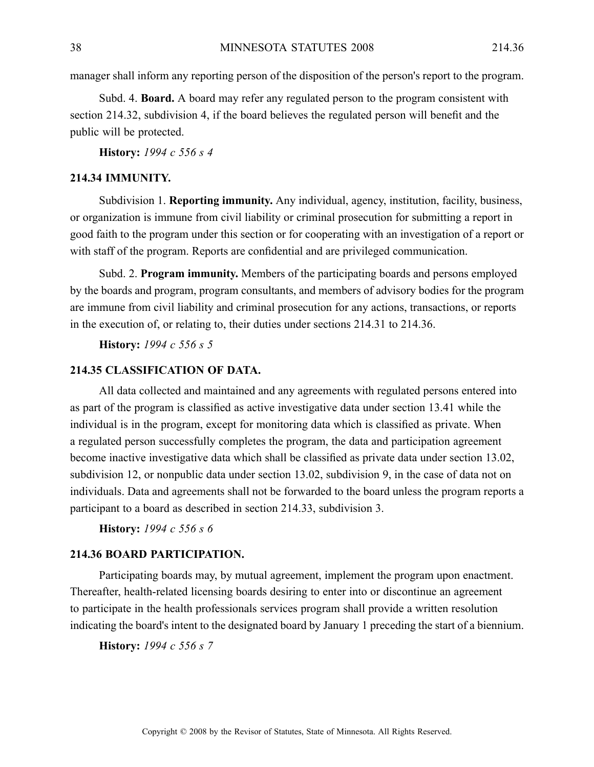manager shall inform any reporting person of the disposition of the person's repor<sup>t</sup> to the program.

Subd. 4. **Board.** A board may refer any regulated person to the program consistent with section 214.32, subdivision 4, if the board believes the regulated person will benefit and the public will be protected.

**History:** *1994 <sup>c</sup> 556 <sup>s</sup> 4*

## **214.34 IMMUNITY.**

Subdivision 1. **Reporting immunity.** Any individual, agency, institution, facility, business, or organization is immune from civil liability or criminal prosecution for submitting <sup>a</sup> repor<sup>t</sup> in good faith to the program under this section or for cooperating with an investigation of <sup>a</sup> repor<sup>t</sup> or with staff of the program. Reports are confidential and are privileged communication.

Subd. 2. **Program immunity.** Members of the participating boards and persons employed by the boards and program, program consultants, and members of advisory bodies for the program are immune from civil liability and criminal prosecution for any actions, transactions, or reports in the execution of, or relating to, their duties under sections 214.31 to 214.36.

**History:** *1994 <sup>c</sup> 556 <sup>s</sup> 5*

## **214.35 CLASSIFICATION OF DATA.**

All data collected and maintained and any agreements with regulated persons entered into as par<sup>t</sup> of the program is classified as active investigative data under section 13.41 while the individual is in the program, excep<sup>t</sup> for monitoring data which is classified as private. When <sup>a</sup> regulated person successfully completes the program, the data and participation agreemen<sup>t</sup> become inactive investigative data which shall be classified as private data under section 13.02, subdivision 12, or nonpublic data under section 13.02, subdivision 9, in the case of data not on individuals. Data and agreements shall not be forwarded to the board unless the program reports <sup>a</sup> participant to <sup>a</sup> board as described in section 214.33, subdivision 3.

**History:** *1994 <sup>c</sup> 556 <sup>s</sup> 6*

## **214.36 BOARD PARTICIPATION.**

Participating boards may, by mutual agreement, implement the program upon enactment. Thereafter, health-related licensing boards desiring to enter into or discontinue an agreemen<sup>t</sup> to participate in the health professionals services program shall provide <sup>a</sup> written resolution indicating the board's intent to the designated board by January 1 preceding the start of <sup>a</sup> biennium.

**History:** *1994 <sup>c</sup> 556 <sup>s</sup> 7*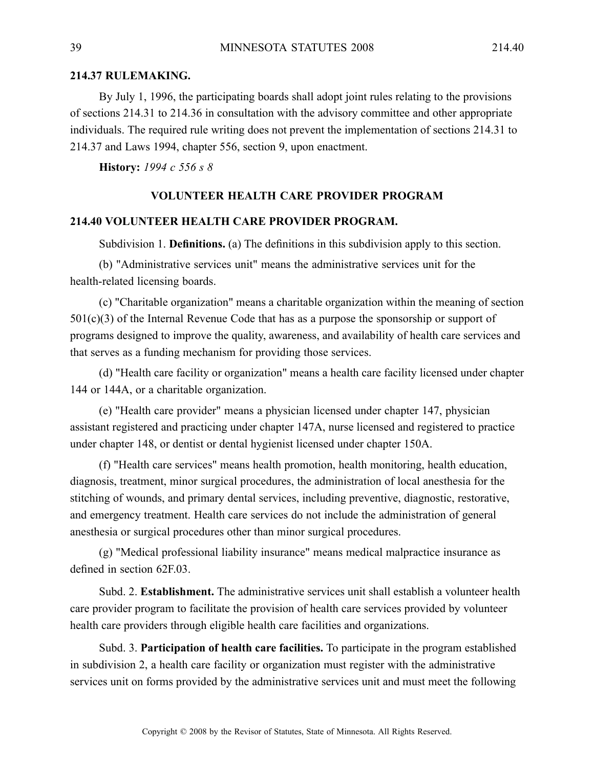## **214.37 RULEMAKING.**

By July 1, 1996, the participating boards shall adopt joint rules relating to the provisions of sections 214.31 to 214.36 in consultation with the advisory committee and other appropriate individuals. The required rule writing does not preven<sup>t</sup> the implementation of sections 214.31 to 214.37 and Laws 1994, chapter 556, section 9, upon enactment.

**History:** *1994 <sup>c</sup> 556 <sup>s</sup> 8*

#### **VOLUNTEER HEALTH CARE PROVIDER PROGRAM**

#### **214.40 VOLUNTEER HEALTH CARE PROVIDER PROGRAM.**

Subdivision 1. **Definitions.** (a) The definitions in this subdivision apply to this section.

(b) "Administrative services unit" means the administrative services unit for the health-related licensing boards.

(c) "Charitable organization" means <sup>a</sup> charitable organization within the meaning of section 501(c)(3) of the Internal Revenue Code that has as <sup>a</sup> purpose the sponsorship or suppor<sup>t</sup> of programs designed to improve the quality, awareness, and availability of health care services and that serves as <sup>a</sup> funding mechanism for providing those services.

(d) "Health care facility or organization" means <sup>a</sup> health care facility licensed under chapter 144 or 144A, or <sup>a</sup> charitable organization.

(e) "Health care provider" means <sup>a</sup> physician licensed under chapter 147, physician assistant registered and practicing under chapter 147A, nurse licensed and registered to practice under chapter 148, or dentist or dental hygienist licensed under chapter 150A.

(f) "Health care services" means health promotion, health monitoring, health education, diagnosis, treatment, minor surgical procedures, the administration of local anesthesia for the stitching of wounds, and primary dental services, including preventive, diagnostic, restorative, and emergency treatment. Health care services do not include the administration of general anesthesia or surgical procedures other than minor surgical procedures.

(g) "Medical professional liability insurance" means medical malpractice insurance as defined in section 62F.03.

Subd. 2. **Establishment.** The administrative services unit shall establish <sup>a</sup> volunteer health care provider program to facilitate the provision of health care services provided by volunteer health care providers through eligible health care facilities and organizations.

Subd. 3. **Participation of health care facilities.** To participate in the program established in subdivision 2, <sup>a</sup> health care facility or organization must register with the administrative services unit on forms provided by the administrative services unit and must meet the following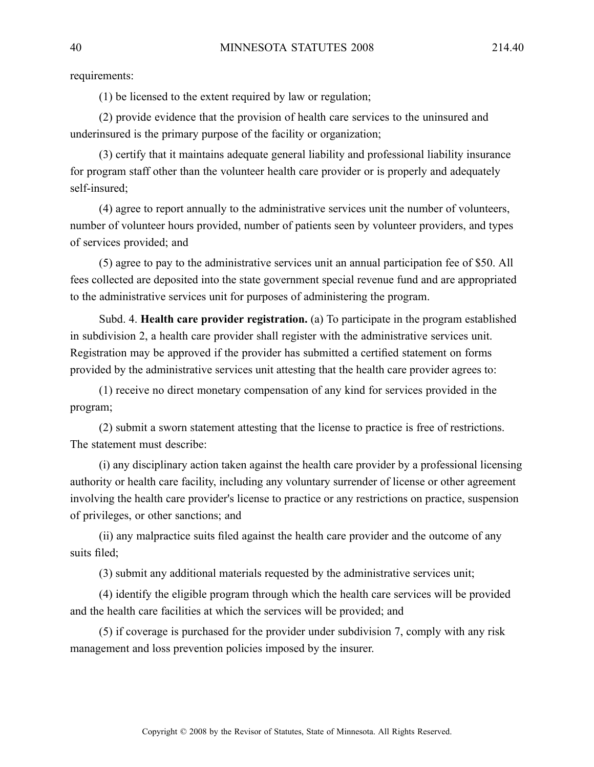requirements:

(1) be licensed to the extent required by law or regulation;

(2) provide evidence that the provision of health care services to the uninsured and underinsured is the primary purpose of the facility or organization;

(3) certify that it maintains adequate general liability and professional liability insurance for program staff other than the volunteer health care provider or is properly and adequately self-insured;

(4) agree to repor<sup>t</sup> annually to the administrative services unit the number of volunteers, number of volunteer hours provided, number of patients seen by volunteer providers, and types of services provided; and

(5) agree to pay to the administrative services unit an annual participation fee of \$50. All fees collected are deposited into the state governmen<sup>t</sup> special revenue fund and are appropriated to the administrative services unit for purposes of administering the program.

Subd. 4. **Health care provider registration.** (a) To participate in the program established in subdivision 2, <sup>a</sup> health care provider shall register with the administrative services unit. Registration may be approved if the provider has submitted <sup>a</sup> certified statement on forms provided by the administrative services unit attesting that the health care provider agrees to:

(1) receive no direct monetary compensation of any kind for services provided in the program;

(2) submit <sup>a</sup> sworn statement attesting that the license to practice is free of restrictions. The statement must describe:

(i) any disciplinary action taken against the health care provider by <sup>a</sup> professional licensing authority or health care facility, including any voluntary surrender of license or other agreemen<sup>t</sup> involving the health care provider's license to practice or any restrictions on practice, suspension of privileges, or other sanctions; and

(ii) any malpractice suits filed against the health care provider and the outcome of any suits filed;

(3) submit any additional materials requested by the administrative services unit;

(4) identify the eligible program through which the health care services will be provided and the health care facilities at which the services will be provided; and

(5) if coverage is purchased for the provider under subdivision 7, comply with any risk managemen<sup>t</sup> and loss prevention policies imposed by the insurer.